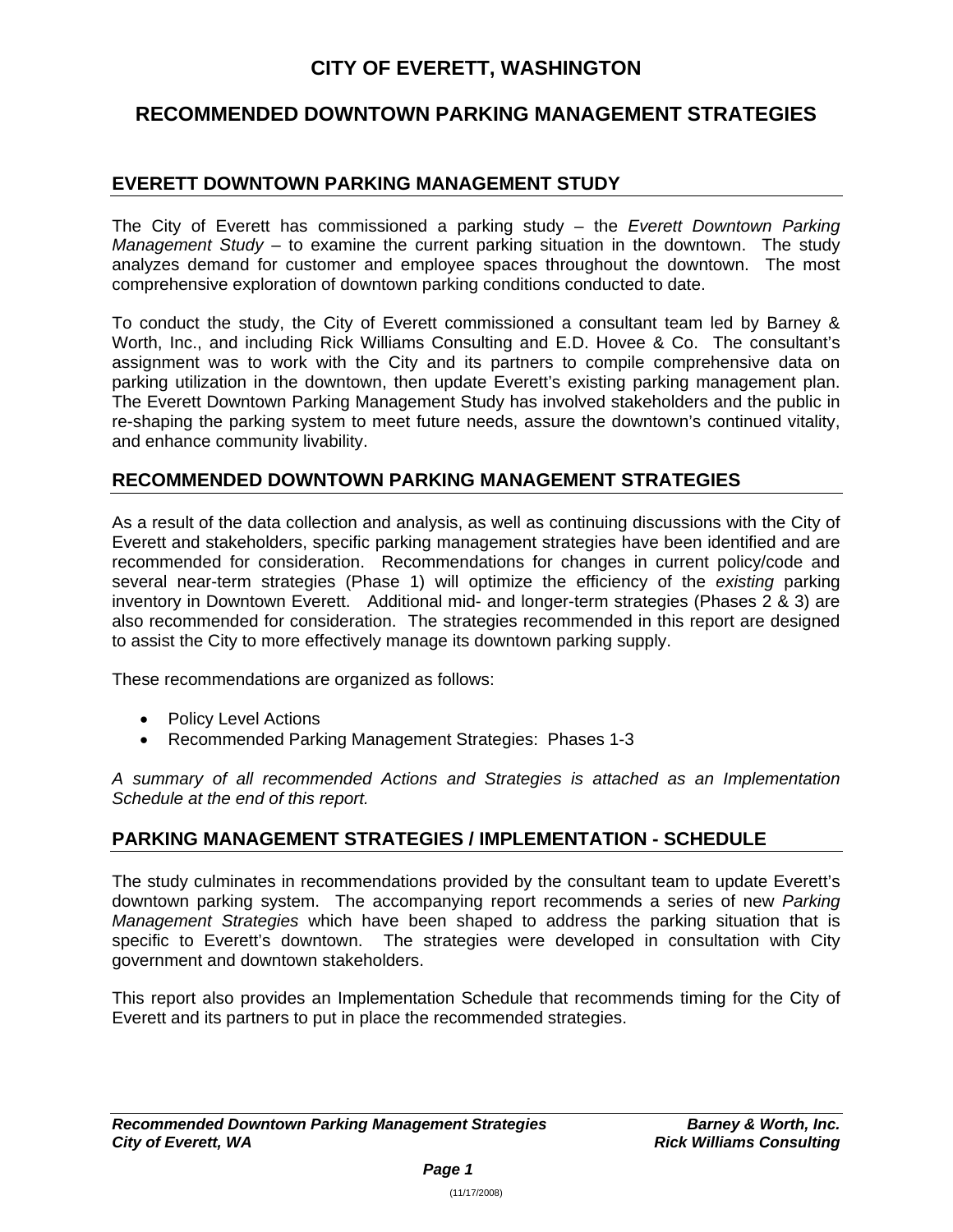# **CITY OF EVERETT, WASHINGTON**

# **RECOMMENDED DOWNTOWN PARKING MANAGEMENT STRATEGIES**

## **EVERETT DOWNTOWN PARKING MANAGEMENT STUDY**

The City of Everett has commissioned a parking study – the *Everett Downtown Parking Management Study* – to examine the current parking situation in the downtown. The study analyzes demand for customer and employee spaces throughout the downtown. The most comprehensive exploration of downtown parking conditions conducted to date.

To conduct the study, the City of Everett commissioned a consultant team led by Barney & Worth, Inc., and including Rick Williams Consulting and E.D. Hovee & Co. The consultant's assignment was to work with the City and its partners to compile comprehensive data on parking utilization in the downtown, then update Everett's existing parking management plan. The Everett Downtown Parking Management Study has involved stakeholders and the public in re-shaping the parking system to meet future needs, assure the downtown's continued vitality, and enhance community livability.

## **RECOMMENDED DOWNTOWN PARKING MANAGEMENT STRATEGIES**

As a result of the data collection and analysis, as well as continuing discussions with the City of Everett and stakeholders, specific parking management strategies have been identified and are recommended for consideration. Recommendations for changes in current policy/code and several near-term strategies (Phase 1) will optimize the efficiency of the *existing* parking inventory in Downtown Everett. Additional mid- and longer-term strategies (Phases 2 & 3) are also recommended for consideration. The strategies recommended in this report are designed to assist the City to more effectively manage its downtown parking supply.

These recommendations are organized as follows:

- Policy Level Actions
- Recommended Parking Management Strategies: Phases 1-3

*A summary of all recommended Actions and Strategies is attached as an Implementation Schedule at the end of this report.* 

## **PARKING MANAGEMENT STRATEGIES / IMPLEMENTATION - SCHEDULE**

The study culminates in recommendations provided by the consultant team to update Everett's downtown parking system. The accompanying report recommends a series of new *Parking Management Strategies* which have been shaped to address the parking situation that is specific to Everett's downtown. The strategies were developed in consultation with City government and downtown stakeholders.

This report also provides an Implementation Schedule that recommends timing for the City of Everett and its partners to put in place the recommended strategies.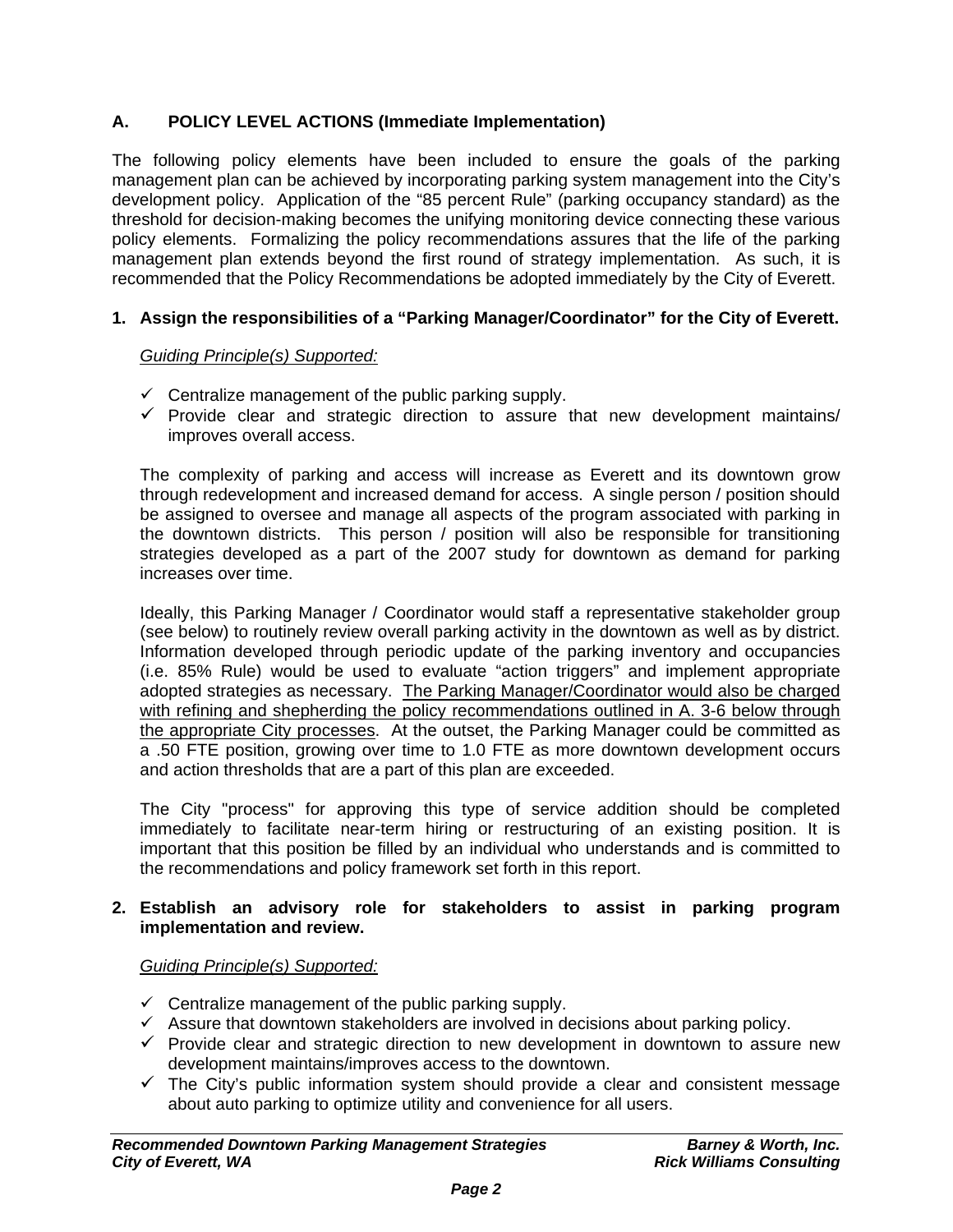## **A. POLICY LEVEL ACTIONS (Immediate Implementation)**

The following policy elements have been included to ensure the goals of the parking management plan can be achieved by incorporating parking system management into the City's development policy. Application of the "85 percent Rule" (parking occupancy standard) as the threshold for decision-making becomes the unifying monitoring device connecting these various policy elements. Formalizing the policy recommendations assures that the life of the parking management plan extends beyond the first round of strategy implementation. As such, it is recommended that the Policy Recommendations be adopted immediately by the City of Everett.

## **1. Assign the responsibilities of a "Parking Manager/Coordinator" for the City of Everett.**

## *Guiding Principle(s) Supported:*

- $\checkmark$  Centralize management of the public parking supply.
- $\checkmark$  Provide clear and strategic direction to assure that new development maintains/ improves overall access.

The complexity of parking and access will increase as Everett and its downtown grow through redevelopment and increased demand for access. A single person / position should be assigned to oversee and manage all aspects of the program associated with parking in the downtown districts. This person / position will also be responsible for transitioning strategies developed as a part of the 2007 study for downtown as demand for parking increases over time.

Ideally, this Parking Manager / Coordinator would staff a representative stakeholder group (see below) to routinely review overall parking activity in the downtown as well as by district. Information developed through periodic update of the parking inventory and occupancies (i.e. 85% Rule) would be used to evaluate "action triggers" and implement appropriate adopted strategies as necessary. The Parking Manager/Coordinator would also be charged with refining and shepherding the policy recommendations outlined in A. 3-6 below through the appropriate City processes. At the outset, the Parking Manager could be committed as a .50 FTE position, growing over time to 1.0 FTE as more downtown development occurs and action thresholds that are a part of this plan are exceeded.

The City "process" for approving this type of service addition should be completed immediately to facilitate near-term hiring or restructuring of an existing position. It is important that this position be filled by an individual who understands and is committed to the recommendations and policy framework set forth in this report.

## **2. Establish an advisory role for stakeholders to assist in parking program implementation and review.**

## *Guiding Principle(s) Supported:*

- $\checkmark$  Centralize management of the public parking supply.
- $\checkmark$  Assure that downtown stakeholders are involved in decisions about parking policy.
- $\checkmark$  Provide clear and strategic direction to new development in downtown to assure new development maintains/improves access to the downtown.
- $\checkmark$  The City's public information system should provide a clear and consistent message about auto parking to optimize utility and convenience for all users.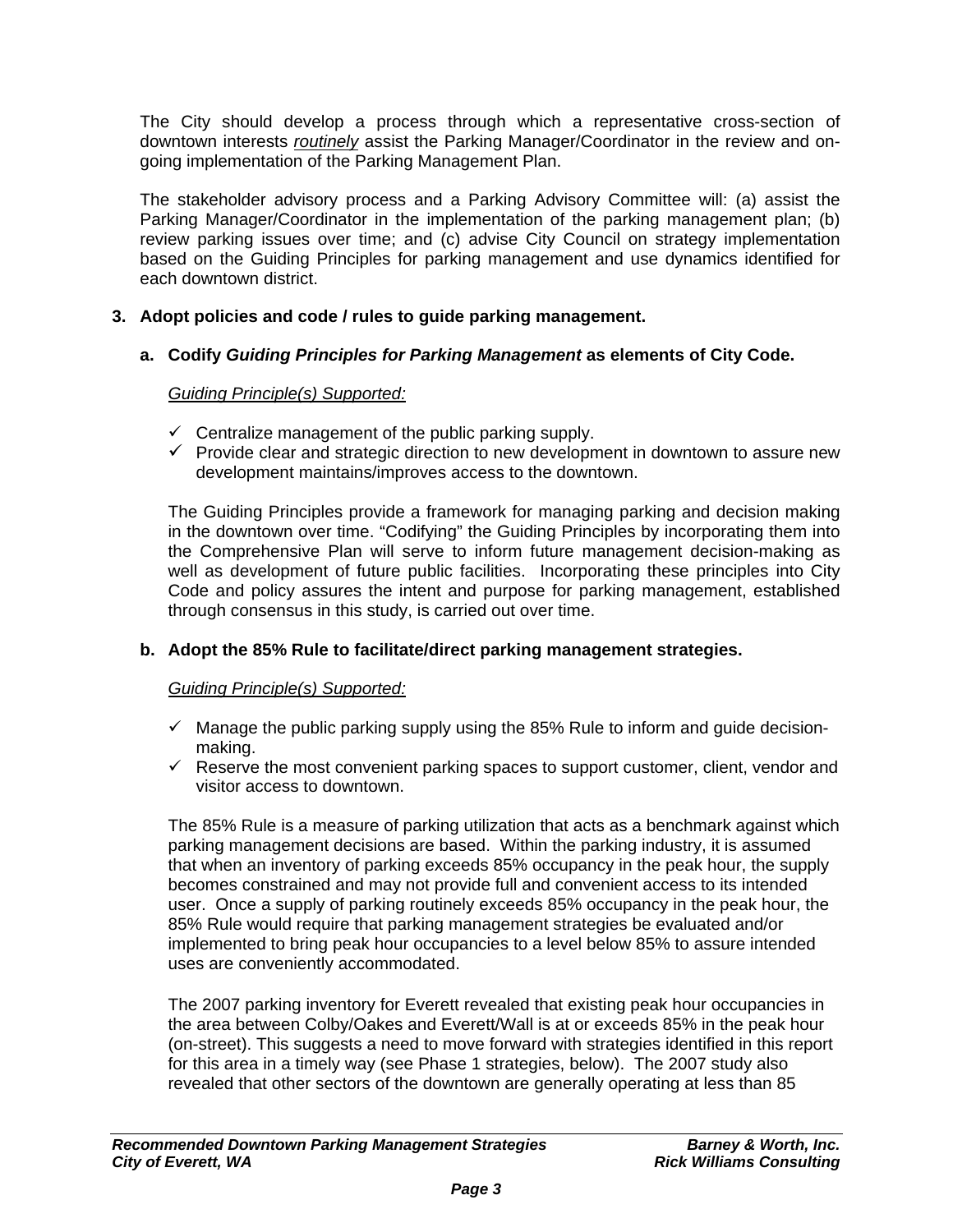The City should develop a process through which a representative cross-section of downtown interests *routinely* assist the Parking Manager/Coordinator in the review and ongoing implementation of the Parking Management Plan.

The stakeholder advisory process and a Parking Advisory Committee will: (a) assist the Parking Manager/Coordinator in the implementation of the parking management plan; (b) review parking issues over time; and (c) advise City Council on strategy implementation based on the Guiding Principles for parking management and use dynamics identified for each downtown district.

## **3. Adopt policies and code / rules to guide parking management.**

## **a. Codify** *Guiding Principles for Parking Management* **as elements of City Code.**

## *Guiding Principle(s) Supported:*

- $\checkmark$  Centralize management of the public parking supply.
- $\checkmark$  Provide clear and strategic direction to new development in downtown to assure new development maintains/improves access to the downtown.

The Guiding Principles provide a framework for managing parking and decision making in the downtown over time. "Codifying" the Guiding Principles by incorporating them into the Comprehensive Plan will serve to inform future management decision-making as well as development of future public facilities. Incorporating these principles into City Code and policy assures the intent and purpose for parking management, established through consensus in this study, is carried out over time.

## **b. Adopt the 85% Rule to facilitate/direct parking management strategies.**

## *Guiding Principle(s) Supported:*

- $\checkmark$  Manage the public parking supply using the 85% Rule to inform and guide decisionmaking.
- $\checkmark$  Reserve the most convenient parking spaces to support customer, client, vendor and visitor access to downtown.

The 85% Rule is a measure of parking utilization that acts as a benchmark against which parking management decisions are based. Within the parking industry, it is assumed that when an inventory of parking exceeds 85% occupancy in the peak hour, the supply becomes constrained and may not provide full and convenient access to its intended user. Once a supply of parking routinely exceeds 85% occupancy in the peak hour, the 85% Rule would require that parking management strategies be evaluated and/or implemented to bring peak hour occupancies to a level below 85% to assure intended uses are conveniently accommodated.

The 2007 parking inventory for Everett revealed that existing peak hour occupancies in the area between Colby/Oakes and Everett/Wall is at or exceeds 85% in the peak hour (on-street). This suggests a need to move forward with strategies identified in this report for this area in a timely way (see Phase 1 strategies, below). The 2007 study also revealed that other sectors of the downtown are generally operating at less than 85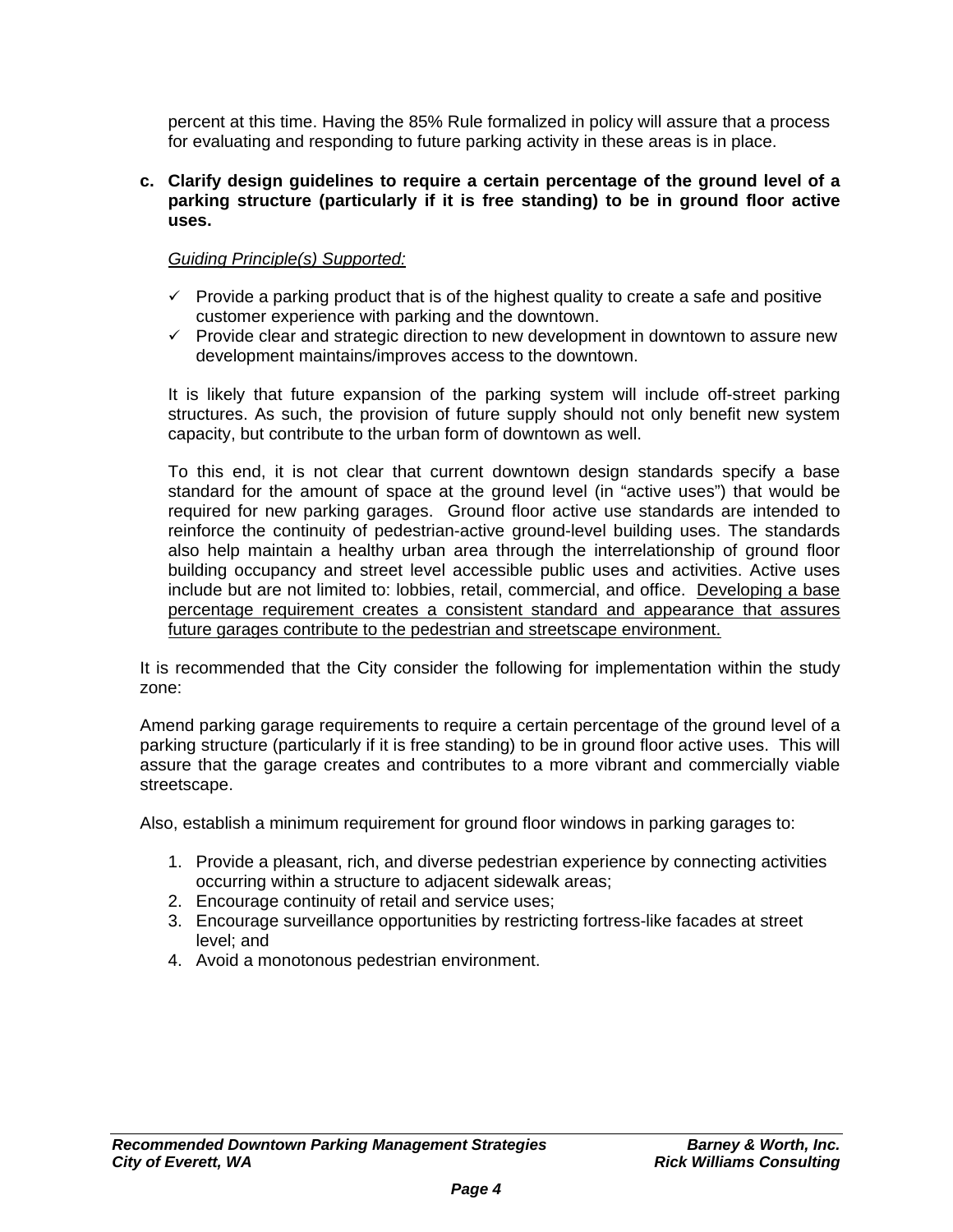percent at this time. Having the 85% Rule formalized in policy will assure that a process for evaluating and responding to future parking activity in these areas is in place.

**c. Clarify design guidelines to require a certain percentage of the ground level of a parking structure (particularly if it is free standing) to be in ground floor active uses.** 

## *Guiding Principle(s) Supported:*

- $\checkmark$  Provide a parking product that is of the highest quality to create a safe and positive customer experience with parking and the downtown.
- $\checkmark$  Provide clear and strategic direction to new development in downtown to assure new development maintains/improves access to the downtown.

It is likely that future expansion of the parking system will include off-street parking structures. As such, the provision of future supply should not only benefit new system capacity, but contribute to the urban form of downtown as well.

To this end, it is not clear that current downtown design standards specify a base standard for the amount of space at the ground level (in "active uses") that would be required for new parking garages. Ground floor active use standards are intended to reinforce the continuity of pedestrian-active ground-level building uses. The standards also help maintain a healthy urban area through the interrelationship of ground floor building occupancy and street level accessible public uses and activities. Active uses include but are not limited to: lobbies, retail, commercial, and office. Developing a base percentage requirement creates a consistent standard and appearance that assures future garages contribute to the pedestrian and streetscape environment.

It is recommended that the City consider the following for implementation within the study zone:

Amend parking garage requirements to require a certain percentage of the ground level of a parking structure (particularly if it is free standing) to be in ground floor active uses. This will assure that the garage creates and contributes to a more vibrant and commercially viable streetscape.

Also, establish a minimum requirement for ground floor windows in parking garages to:

- 1. Provide a pleasant, rich, and diverse pedestrian experience by connecting activities occurring within a structure to adjacent sidewalk areas;
- 2. Encourage continuity of retail and service uses;
- 3. Encourage surveillance opportunities by restricting fortress-like facades at street level; and
- 4. Avoid a monotonous pedestrian environment.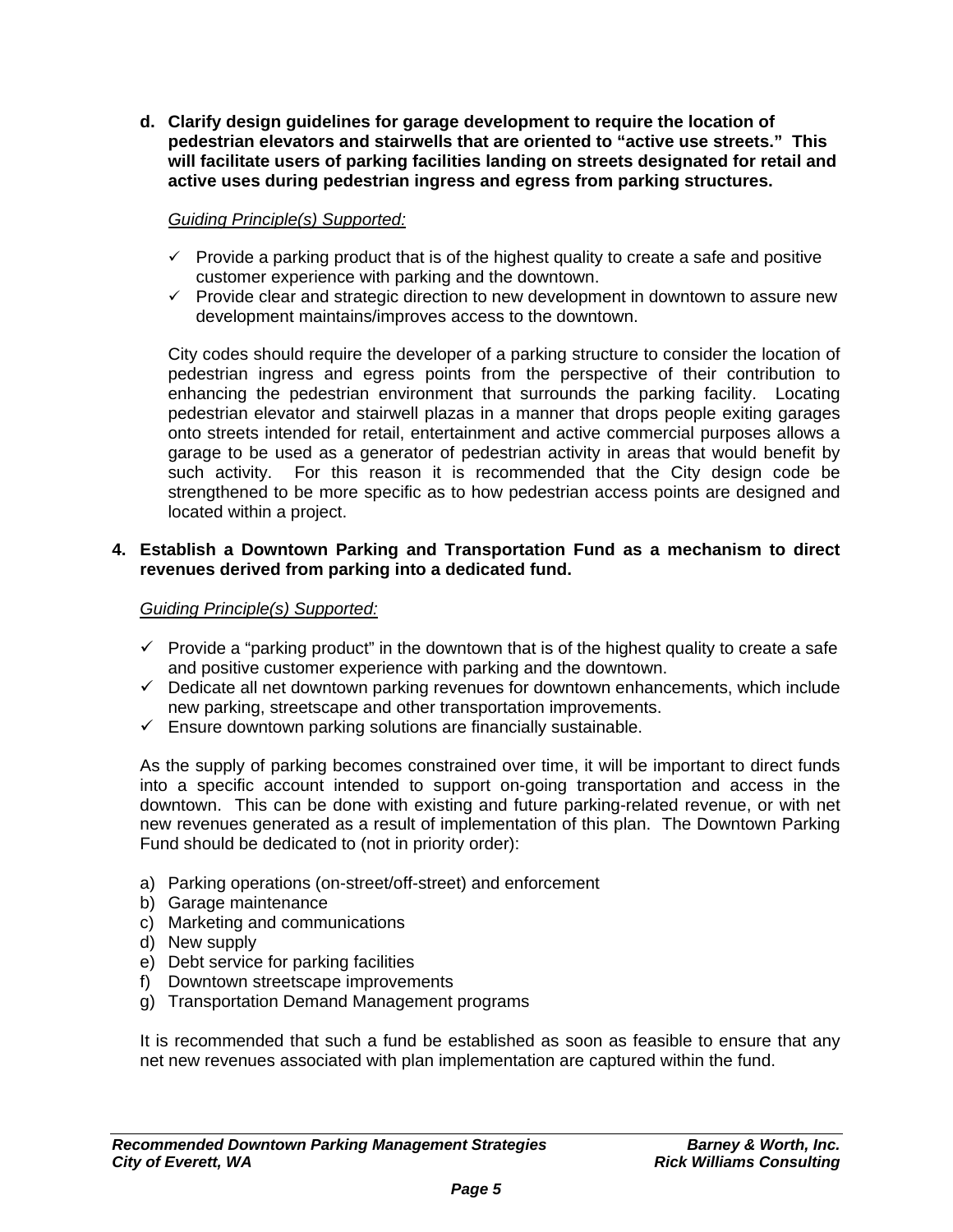**d. Clarify design guidelines for garage development to require the location of pedestrian elevators and stairwells that are oriented to "active use streets." This will facilitate users of parking facilities landing on streets designated for retail and active uses during pedestrian ingress and egress from parking structures.** 

## *Guiding Principle(s) Supported:*

- $\checkmark$  Provide a parking product that is of the highest quality to create a safe and positive customer experience with parking and the downtown.
- $\checkmark$  Provide clear and strategic direction to new development in downtown to assure new development maintains/improves access to the downtown.

City codes should require the developer of a parking structure to consider the location of pedestrian ingress and egress points from the perspective of their contribution to enhancing the pedestrian environment that surrounds the parking facility. Locating pedestrian elevator and stairwell plazas in a manner that drops people exiting garages onto streets intended for retail, entertainment and active commercial purposes allows a garage to be used as a generator of pedestrian activity in areas that would benefit by such activity. For this reason it is recommended that the City design code be strengthened to be more specific as to how pedestrian access points are designed and located within a project.

#### **4. Establish a Downtown Parking and Transportation Fund as a mechanism to direct revenues derived from parking into a dedicated fund.**

## *Guiding Principle(s) Supported:*

- $\checkmark$  Provide a "parking product" in the downtown that is of the highest quality to create a safe and positive customer experience with parking and the downtown.
- $\checkmark$  Dedicate all net downtown parking revenues for downtown enhancements, which include new parking, streetscape and other transportation improvements.
- $\checkmark$  Ensure downtown parking solutions are financially sustainable.

As the supply of parking becomes constrained over time, it will be important to direct funds into a specific account intended to support on-going transportation and access in the downtown. This can be done with existing and future parking-related revenue, or with net new revenues generated as a result of implementation of this plan. The Downtown Parking Fund should be dedicated to (not in priority order):

- a) Parking operations (on-street/off-street) and enforcement
- b) Garage maintenance
- c) Marketing and communications
- d) New supply
- e) Debt service for parking facilities
- f) Downtown streetscape improvements
- g) Transportation Demand Management programs

It is recommended that such a fund be established as soon as feasible to ensure that any net new revenues associated with plan implementation are captured within the fund.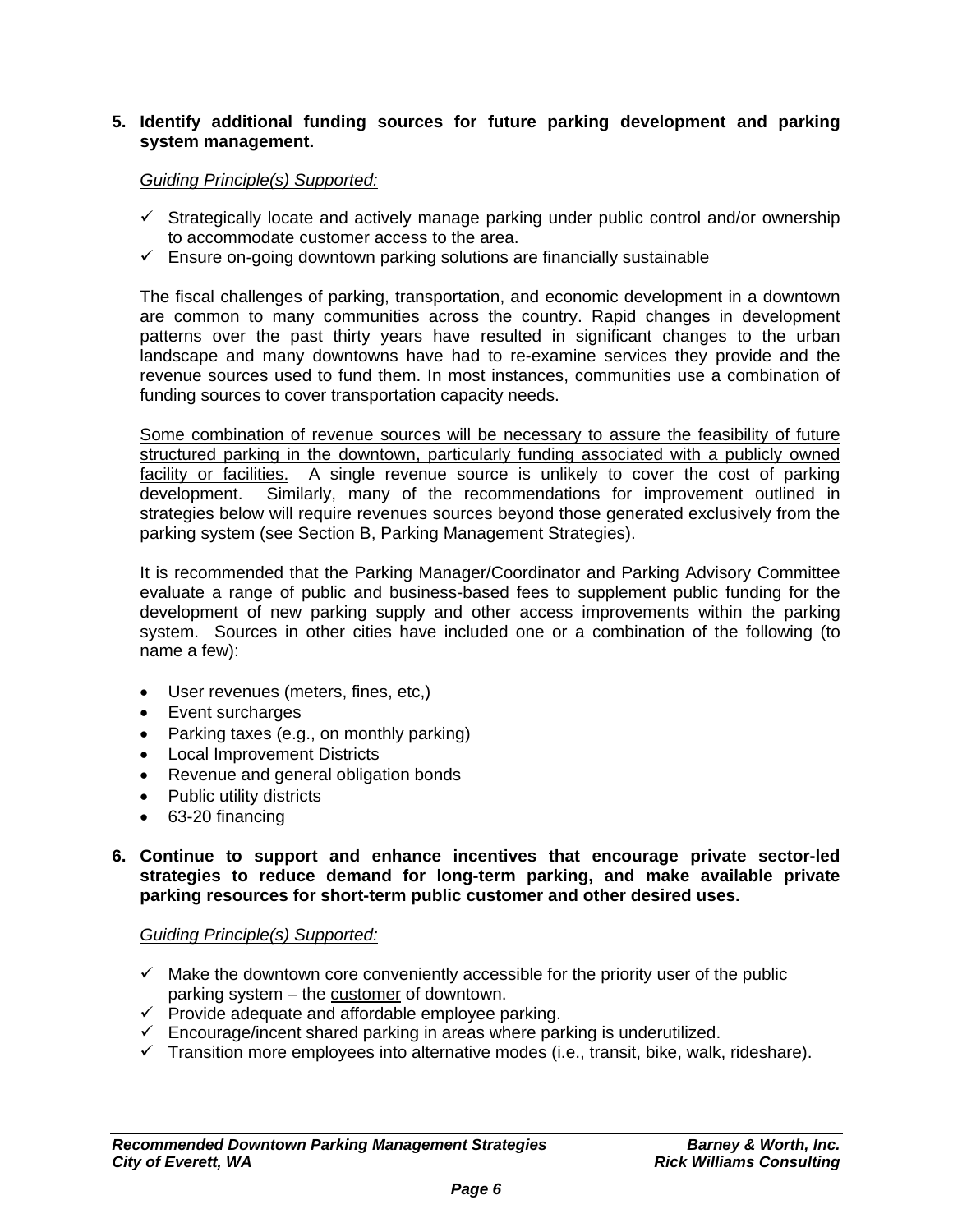## **5. Identify additional funding sources for future parking development and parking system management.**

## *Guiding Principle(s) Supported:*

- $\checkmark$  Strategically locate and actively manage parking under public control and/or ownership to accommodate customer access to the area.
- $\checkmark$  Ensure on-going downtown parking solutions are financially sustainable

The fiscal challenges of parking, transportation, and economic development in a downtown are common to many communities across the country. Rapid changes in development patterns over the past thirty years have resulted in significant changes to the urban landscape and many downtowns have had to re-examine services they provide and the revenue sources used to fund them. In most instances, communities use a combination of funding sources to cover transportation capacity needs.

Some combination of revenue sources will be necessary to assure the feasibility of future structured parking in the downtown, particularly funding associated with a publicly owned facility or facilities. A single revenue source is unlikely to cover the cost of parking development. Similarly, many of the recommendations for improvement outlined in strategies below will require revenues sources beyond those generated exclusively from the parking system (see Section B, Parking Management Strategies).

It is recommended that the Parking Manager/Coordinator and Parking Advisory Committee evaluate a range of public and business-based fees to supplement public funding for the development of new parking supply and other access improvements within the parking system. Sources in other cities have included one or a combination of the following (to name a few):

- User revenues (meters, fines, etc,)
- Event surcharges
- Parking taxes (e.g., on monthly parking)
- Local Improvement Districts
- Revenue and general obligation bonds
- Public utility districts
- 63-20 financing
- **6. Continue to support and enhance incentives that encourage private sector-led strategies to reduce demand for long-term parking, and make available private parking resources for short-term public customer and other desired uses.**

#### *Guiding Principle(s) Supported:*

- $\checkmark$  Make the downtown core conveniently accessible for the priority user of the public parking system – the customer of downtown.
- $\checkmark$  Provide adequate and affordable employee parking.
- $\checkmark$  Encourage/incent shared parking in areas where parking is underutilized.
- $\checkmark$  Transition more employees into alternative modes (i.e., transit, bike, walk, rideshare).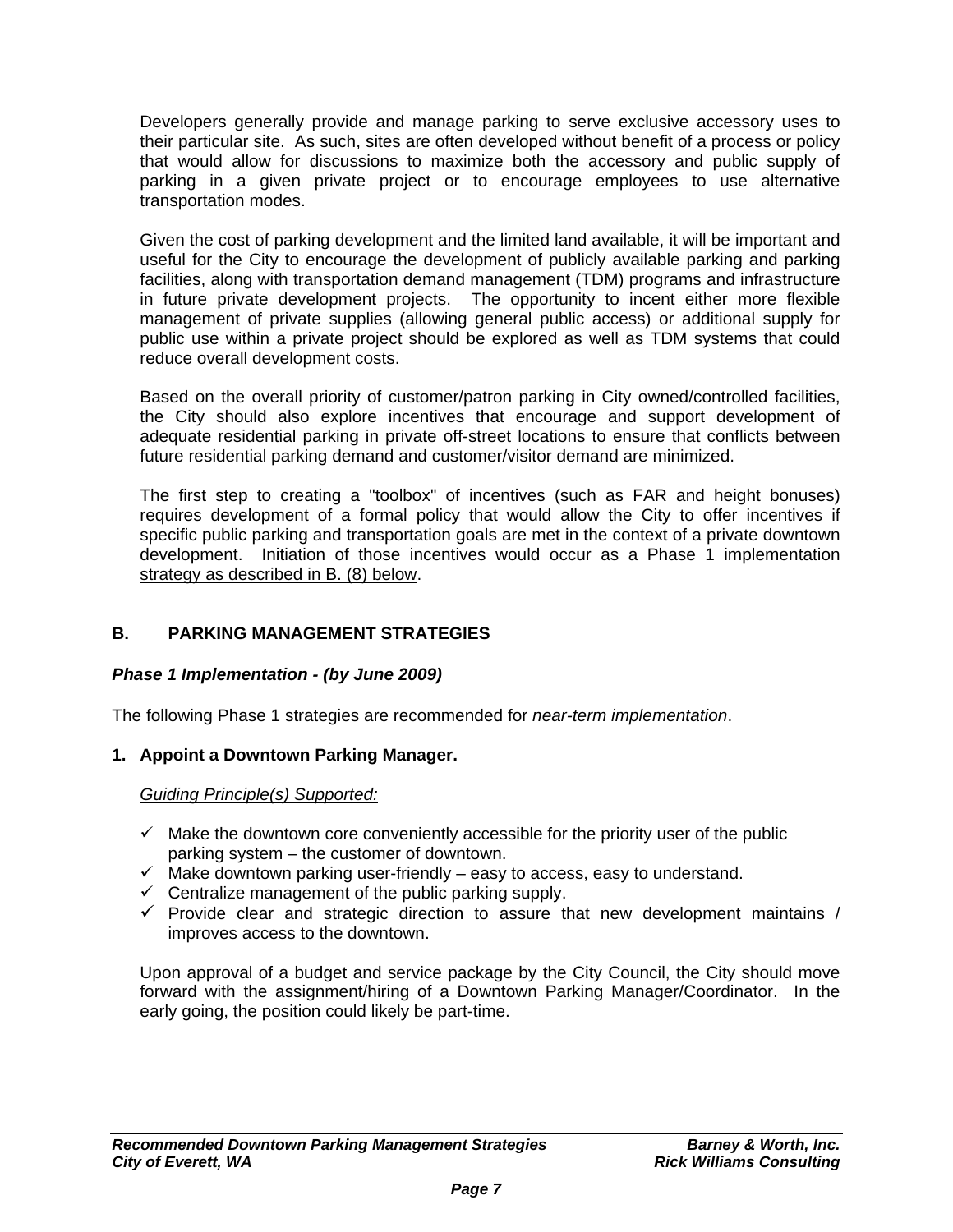Developers generally provide and manage parking to serve exclusive accessory uses to their particular site. As such, sites are often developed without benefit of a process or policy that would allow for discussions to maximize both the accessory and public supply of parking in a given private project or to encourage employees to use alternative transportation modes.

Given the cost of parking development and the limited land available, it will be important and useful for the City to encourage the development of publicly available parking and parking facilities, along with transportation demand management (TDM) programs and infrastructure in future private development projects. The opportunity to incent either more flexible management of private supplies (allowing general public access) or additional supply for public use within a private project should be explored as well as TDM systems that could reduce overall development costs.

Based on the overall priority of customer/patron parking in City owned/controlled facilities, the City should also explore incentives that encourage and support development of adequate residential parking in private off-street locations to ensure that conflicts between future residential parking demand and customer/visitor demand are minimized.

The first step to creating a "toolbox" of incentives (such as FAR and height bonuses) requires development of a formal policy that would allow the City to offer incentives if specific public parking and transportation goals are met in the context of a private downtown development. Initiation of those incentives would occur as a Phase 1 implementation strategy as described in B. (8) below.

## **B. PARKING MANAGEMENT STRATEGIES**

## *Phase 1 Implementation - (by June 2009)*

The following Phase 1 strategies are recommended for *near-term implementation*.

## **1. Appoint a Downtown Parking Manager.**

*Guiding Principle(s) Supported:*

- $\checkmark$  Make the downtown core conveniently accessible for the priority user of the public parking system – the customer of downtown.
- $\checkmark$  Make downtown parking user-friendly easy to access, easy to understand.
- $\checkmark$  Centralize management of the public parking supply.
- $\checkmark$  Provide clear and strategic direction to assure that new development maintains / improves access to the downtown.

Upon approval of a budget and service package by the City Council, the City should move forward with the assignment/hiring of a Downtown Parking Manager/Coordinator. In the early going, the position could likely be part-time.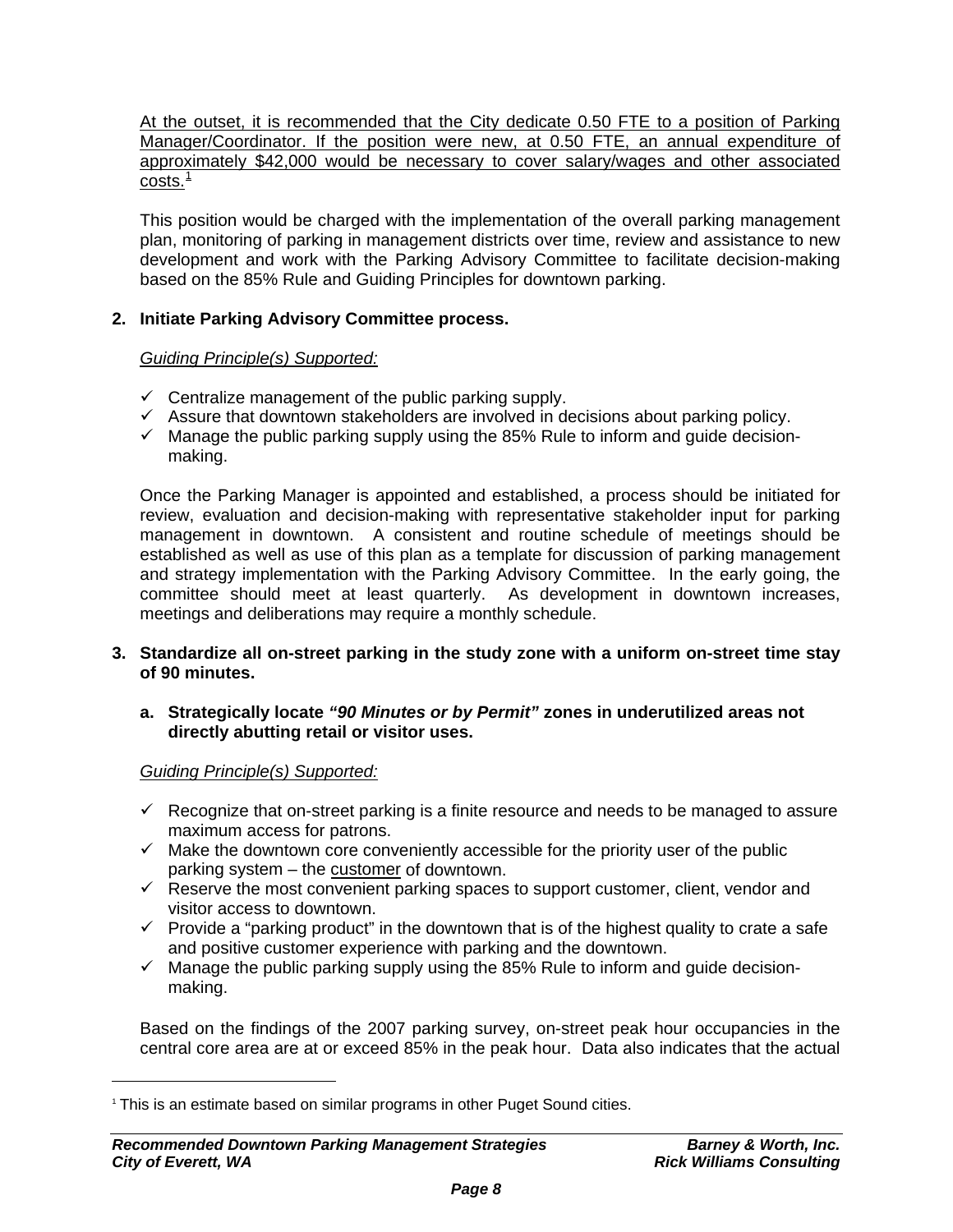At the outset, it is recommended that the City dedicate 0.50 FTE to a position of Parking Manager/Coordinator. If the position were new, at 0.50 FTE, an annual expenditure of approximately \$42,000 would be necessary to cover salary/wages and other associated  $costs.<sup>1</sup>$  $costs.<sup>1</sup>$  $costs.<sup>1</sup>$ 

This position would be charged with the implementation of the overall parking management plan, monitoring of parking in management districts over time, review and assistance to new development and work with the Parking Advisory Committee to facilitate decision-making based on the 85% Rule and Guiding Principles for downtown parking.

## **2. Initiate Parking Advisory Committee process.**

## *Guiding Principle(s) Supported:*

- $\checkmark$  Centralize management of the public parking supply.
- $\checkmark$  Assure that downtown stakeholders are involved in decisions about parking policy.
- $\checkmark$  Manage the public parking supply using the 85% Rule to inform and guide decisionmaking.

Once the Parking Manager is appointed and established, a process should be initiated for review, evaluation and decision-making with representative stakeholder input for parking management in downtown. A consistent and routine schedule of meetings should be established as well as use of this plan as a template for discussion of parking management and strategy implementation with the Parking Advisory Committee. In the early going, the committee should meet at least quarterly. As development in downtown increases, meetings and deliberations may require a monthly schedule.

**3. Standardize all on-street parking in the study zone with a uniform on-street time stay of 90 minutes.**

#### **a. Strategically locate** *"90 Minutes or by Permit"* **zones in underutilized areas not directly abutting retail or visitor uses.**

*Guiding Principle(s) Supported:*

 $\overline{a}$ 

- $\checkmark$  Recognize that on-street parking is a finite resource and needs to be managed to assure maximum access for patrons.
- $\checkmark$  Make the downtown core conveniently accessible for the priority user of the public parking system – the customer of downtown.
- $\checkmark$  Reserve the most convenient parking spaces to support customer, client, vendor and visitor access to downtown.
- $\checkmark$  Provide a "parking product" in the downtown that is of the highest quality to crate a safe and positive customer experience with parking and the downtown.
- $\checkmark$  Manage the public parking supply using the 85% Rule to inform and guide decisionmaking.

Based on the findings of the 2007 parking survey, on-street peak hour occupancies in the central core area are at or exceed 85% in the peak hour. Data also indicates that the actual

<span id="page-7-0"></span><sup>&</sup>lt;sup>1</sup> This is an estimate based on similar programs in other Puget Sound cities.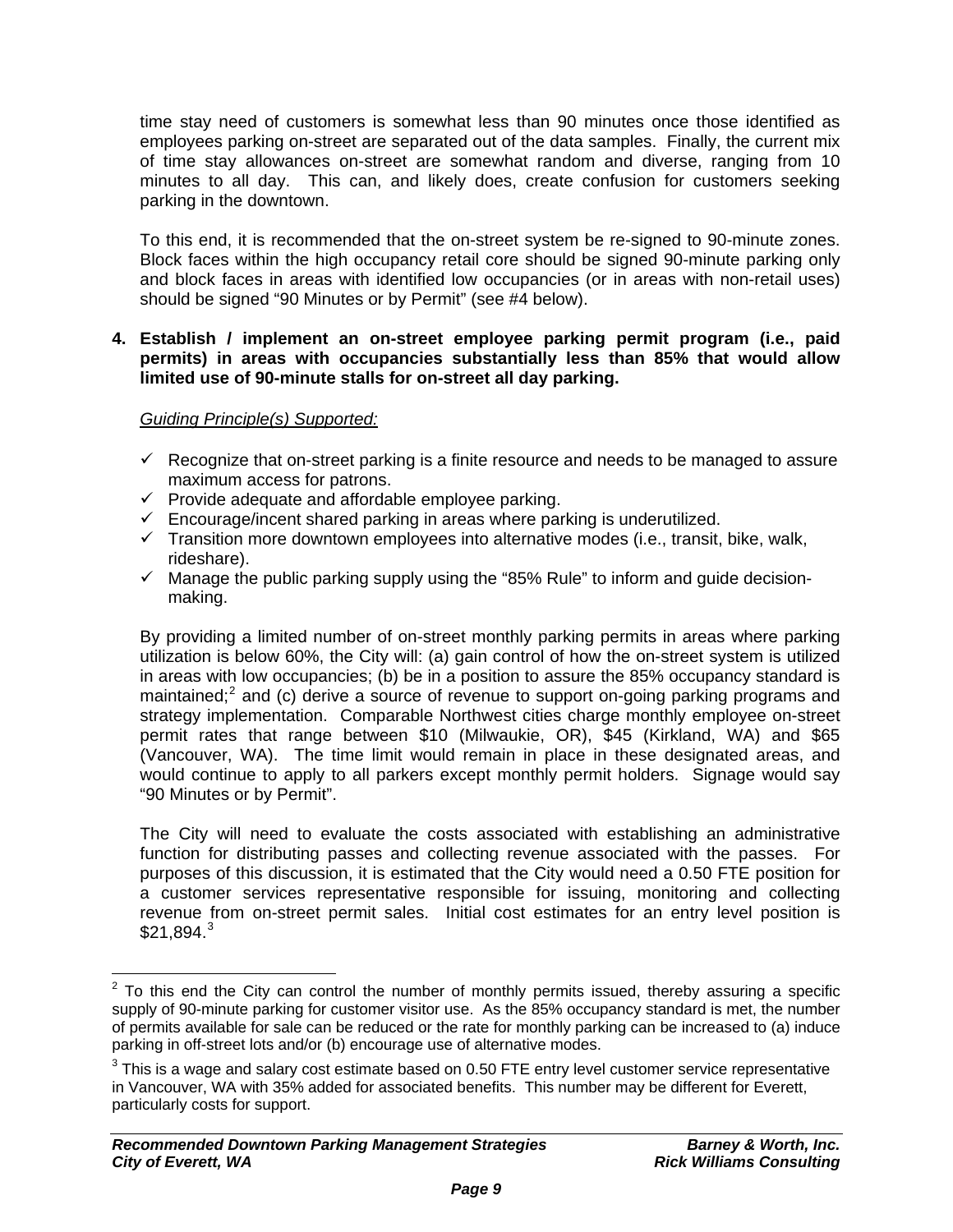time stay need of customers is somewhat less than 90 minutes once those identified as employees parking on-street are separated out of the data samples. Finally, the current mix of time stay allowances on-street are somewhat random and diverse, ranging from 10 minutes to all day. This can, and likely does, create confusion for customers seeking parking in the downtown.

To this end, it is recommended that the on-street system be re-signed to 90-minute zones. Block faces within the high occupancy retail core should be signed 90-minute parking only and block faces in areas with identified low occupancies (or in areas with non-retail uses) should be signed "90 Minutes or by Permit" (see #4 below).

## **4. Establish / implement an on-street employee parking permit program (i.e., paid permits) in areas with occupancies substantially less than 85% that would allow limited use of 90-minute stalls for on-street all day parking.**

## *Guiding Principle(s) Supported:*

- $\checkmark$  Recognize that on-street parking is a finite resource and needs to be managed to assure maximum access for patrons.
- $\checkmark$  Provide adequate and affordable employee parking.
- $\checkmark$  Encourage/incent shared parking in areas where parking is underutilized.
- $\checkmark$  Transition more downtown employees into alternative modes (i.e., transit, bike, walk, rideshare).
- $\checkmark$  Manage the public parking supply using the "85% Rule" to inform and guide decisionmaking.

By providing a limited number of on-street monthly parking permits in areas where parking utilization is below 60%, the City will: (a) gain control of how the on-street system is utilized in areas with low occupancies; (b) be in a position to assure the 85% occupancy standard is maintained;<sup>[2](#page-8-0)</sup> and (c) derive a source of revenue to support on-going parking programs and strategy implementation. Comparable Northwest cities charge monthly employee on-street permit rates that range between \$10 (Milwaukie, OR), \$45 (Kirkland, WA) and \$65 (Vancouver, WA). The time limit would remain in place in these designated areas, and would continue to apply to all parkers except monthly permit holders. Signage would say "90 Minutes or by Permit".

The City will need to evaluate the costs associated with establishing an administrative function for distributing passes and collecting revenue associated with the passes. For purposes of this discussion, it is estimated that the City would need a 0.50 FTE position for a customer services representative responsible for issuing, monitoring and collecting revenue from on-street permit sales. Initial cost estimates for an entry level position is  $$21.894.<sup>3</sup>$  $$21.894.<sup>3</sup>$  $$21.894.<sup>3</sup>$ 

 $\overline{a}$ 

<span id="page-8-0"></span> $2$  To this end the City can control the number of monthly permits issued, thereby assuring a specific supply of 90-minute parking for customer visitor use. As the 85% occupancy standard is met, the number of permits available for sale can be reduced or the rate for monthly parking can be increased to (a) induce parking in off-street lots and/or (b) encourage use of alternative modes.

<span id="page-8-1"></span> $3$  This is a wage and salary cost estimate based on 0.50 FTE entry level customer service representative in Vancouver, WA with 35% added for associated benefits. This number may be different for Everett, particularly costs for support.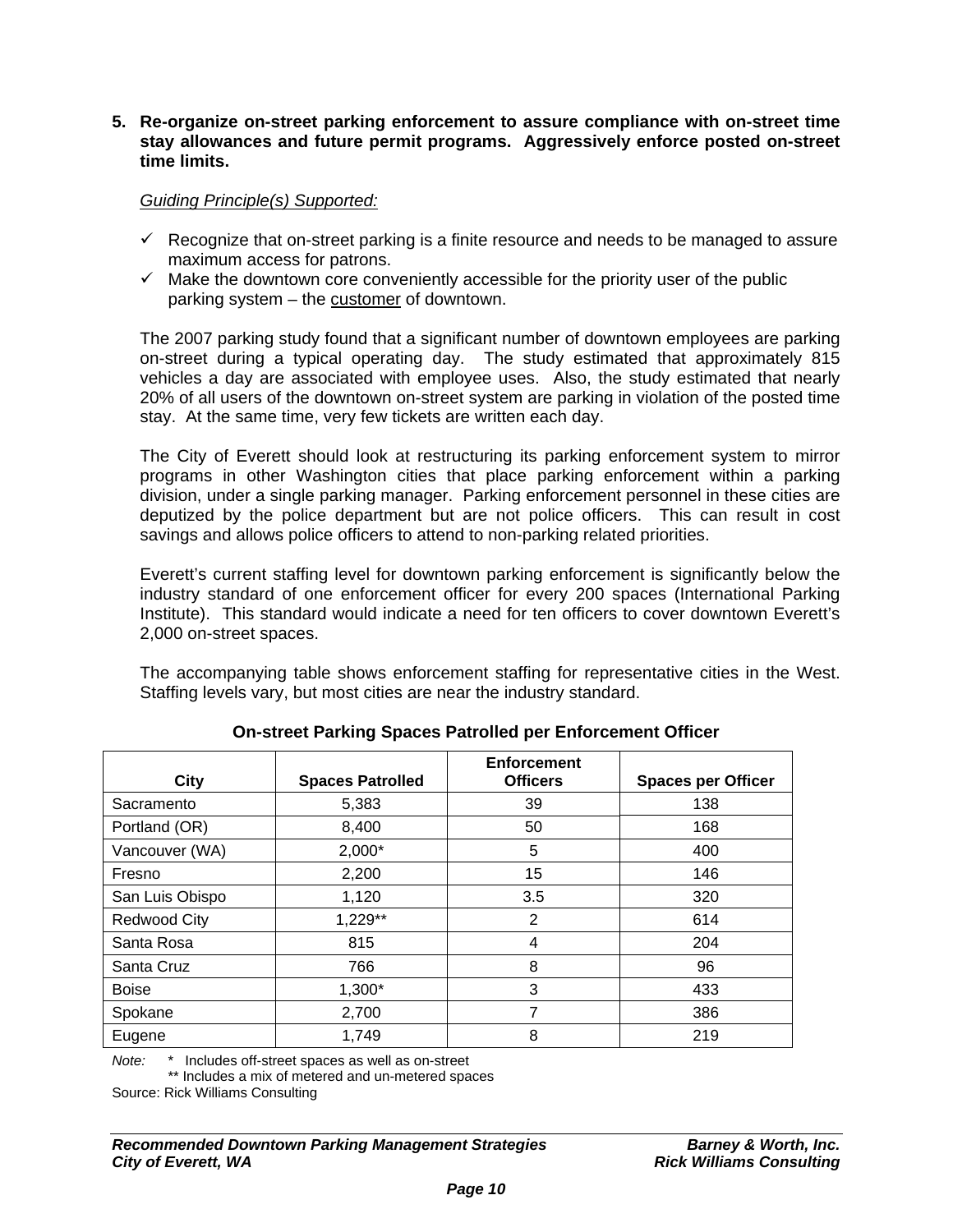#### **5. Re-organize on-street parking enforcement to assure compliance with on-street time stay allowances and future permit programs. Aggressively enforce posted on-street time limits.**

*Guiding Principle(s) Supported:*

- $\checkmark$  Recognize that on-street parking is a finite resource and needs to be managed to assure maximum access for patrons.
- $\checkmark$  Make the downtown core conveniently accessible for the priority user of the public parking system – the customer of downtown.

The 2007 parking study found that a significant number of downtown employees are parking on-street during a typical operating day. The study estimated that approximately 815 vehicles a day are associated with employee uses. Also, the study estimated that nearly 20% of all users of the downtown on-street system are parking in violation of the posted time stay. At the same time, very few tickets are written each day.

The City of Everett should look at restructuring its parking enforcement system to mirror programs in other Washington cities that place parking enforcement within a parking division, under a single parking manager. Parking enforcement personnel in these cities are deputized by the police department but are not police officers. This can result in cost savings and allows police officers to attend to non-parking related priorities.

Everett's current staffing level for downtown parking enforcement is significantly below the industry standard of one enforcement officer for every 200 spaces (International Parking Institute). This standard would indicate a need for ten officers to cover downtown Everett's 2,000 on-street spaces.

The accompanying table shows enforcement staffing for representative cities in the West. Staffing levels vary, but most cities are near the industry standard.

| City                | <b>Spaces Patrolled</b> | <b>Enforcement</b><br><b>Officers</b> | <b>Spaces per Officer</b> |
|---------------------|-------------------------|---------------------------------------|---------------------------|
| Sacramento          | 5,383                   | 39                                    | 138                       |
| Portland (OR)       | 8,400                   | 50                                    | 168                       |
| Vancouver (WA)      | $2,000*$                | 5                                     | 400                       |
| Fresno              | 2,200                   | 15                                    | 146                       |
| San Luis Obispo     | 1,120                   | 3.5                                   | 320                       |
| <b>Redwood City</b> | 1,229**                 | 2                                     | 614                       |
| Santa Rosa          | 815                     | 4                                     | 204                       |
| Santa Cruz          | 766                     | 8                                     | 96                        |
| <b>Boise</b>        | 1,300*                  | 3                                     | 433                       |
| Spokane             | 2,700                   | 7                                     | 386                       |
| Eugene              | 1,749                   | 8                                     | 219                       |

**On-street Parking Spaces Patrolled per Enforcement Officer** 

*Note:* \* Includes off-street spaces as well as on-street

\*\* Includes a mix of metered and un-metered spaces

Source: Rick Williams Consulting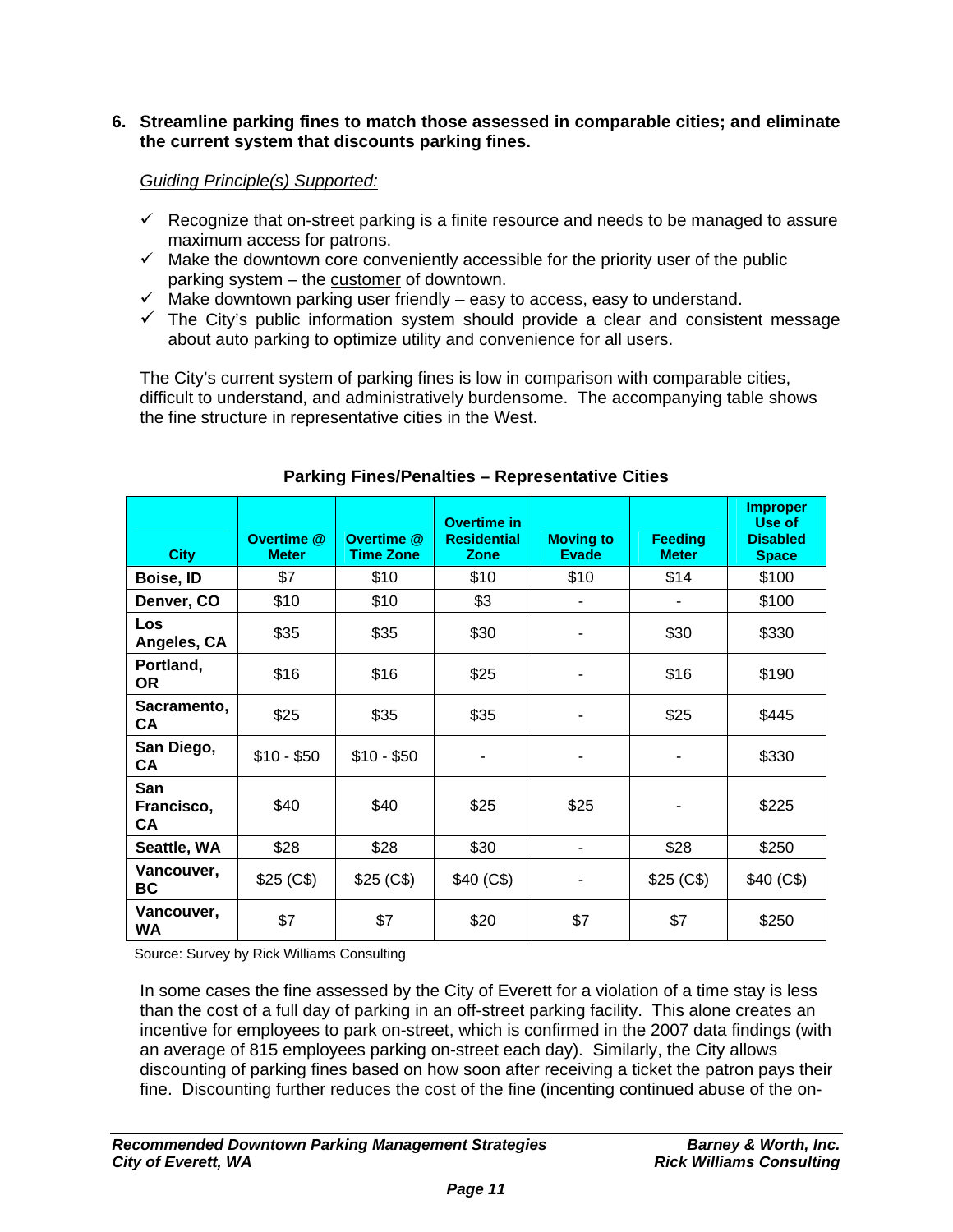## **6. Streamline parking fines to match those assessed in comparable cities; and eliminate the current system that discounts parking fines.**

## *Guiding Principle(s) Supported:*

- $\checkmark$  Recognize that on-street parking is a finite resource and needs to be managed to assure maximum access for patrons.
- $\checkmark$  Make the downtown core conveniently accessible for the priority user of the public parking system – the customer of downtown.
- $\checkmark$  Make downtown parking user friendly easy to access, easy to understand.
- $\checkmark$  The City's public information system should provide a clear and consistent message about auto parking to optimize utility and convenience for all users.

The City's current system of parking fines is low in comparison with comparable cities, difficult to understand, and administratively burdensome. The accompanying table shows the fine structure in representative cities in the West.

| <b>City</b>               | Overtime @<br><b>Meter</b> | Overtime @<br><b>Time Zone</b> | <b>Overtime in</b><br><b>Residential</b><br><b>Zone</b> | <b>Moving to</b><br><b>Evade</b> | <b>Feeding</b><br><b>Meter</b> | <b>Improper</b><br>Use of<br><b>Disabled</b><br><b>Space</b> |
|---------------------------|----------------------------|--------------------------------|---------------------------------------------------------|----------------------------------|--------------------------------|--------------------------------------------------------------|
| Boise, ID                 | \$7                        | \$10                           | \$10                                                    | \$10                             | \$14                           | \$100                                                        |
| Denver, CO                | \$10                       | \$10                           | \$3                                                     | ۰                                |                                | \$100                                                        |
| <b>Los</b><br>Angeles, CA | \$35                       | \$35                           | \$30                                                    | ۰                                | \$30                           | \$330                                                        |
| Portland,<br><b>OR</b>    | \$16                       | \$16                           | \$25                                                    |                                  | \$16                           | \$190                                                        |
| Sacramento,<br>CА         | \$25                       | \$35                           | \$35                                                    |                                  | \$25                           | \$445                                                        |
| San Diego,<br>CA          | $$10 - $50$                | $$10 - $50$                    |                                                         |                                  |                                | \$330                                                        |
| San<br>Francisco,<br>СA   | \$40                       | \$40                           | \$25                                                    | \$25                             |                                | \$225                                                        |
| Seattle, WA               | \$28                       | \$28                           | \$30                                                    | ۰                                | \$28                           | \$250                                                        |
| Vancouver,<br>BC          | \$25 (C\$)                 | \$25 (C\$)                     | \$40 (C\$)                                              |                                  | \$25 (C\$)                     | \$40 (C\$)                                                   |
| Vancouver,<br><b>WA</b>   | \$7                        | \$7                            | \$20                                                    | \$7                              | \$7                            | \$250                                                        |

## **Parking Fines/Penalties – Representative Cities**

Source: Survey by Rick Williams Consulting

In some cases the fine assessed by the City of Everett for a violation of a time stay is less than the cost of a full day of parking in an off-street parking facility. This alone creates an incentive for employees to park on-street, which is confirmed in the 2007 data findings (with an average of 815 employees parking on-street each day). Similarly, the City allows discounting of parking fines based on how soon after receiving a ticket the patron pays their fine. Discounting further reduces the cost of the fine (incenting continued abuse of the on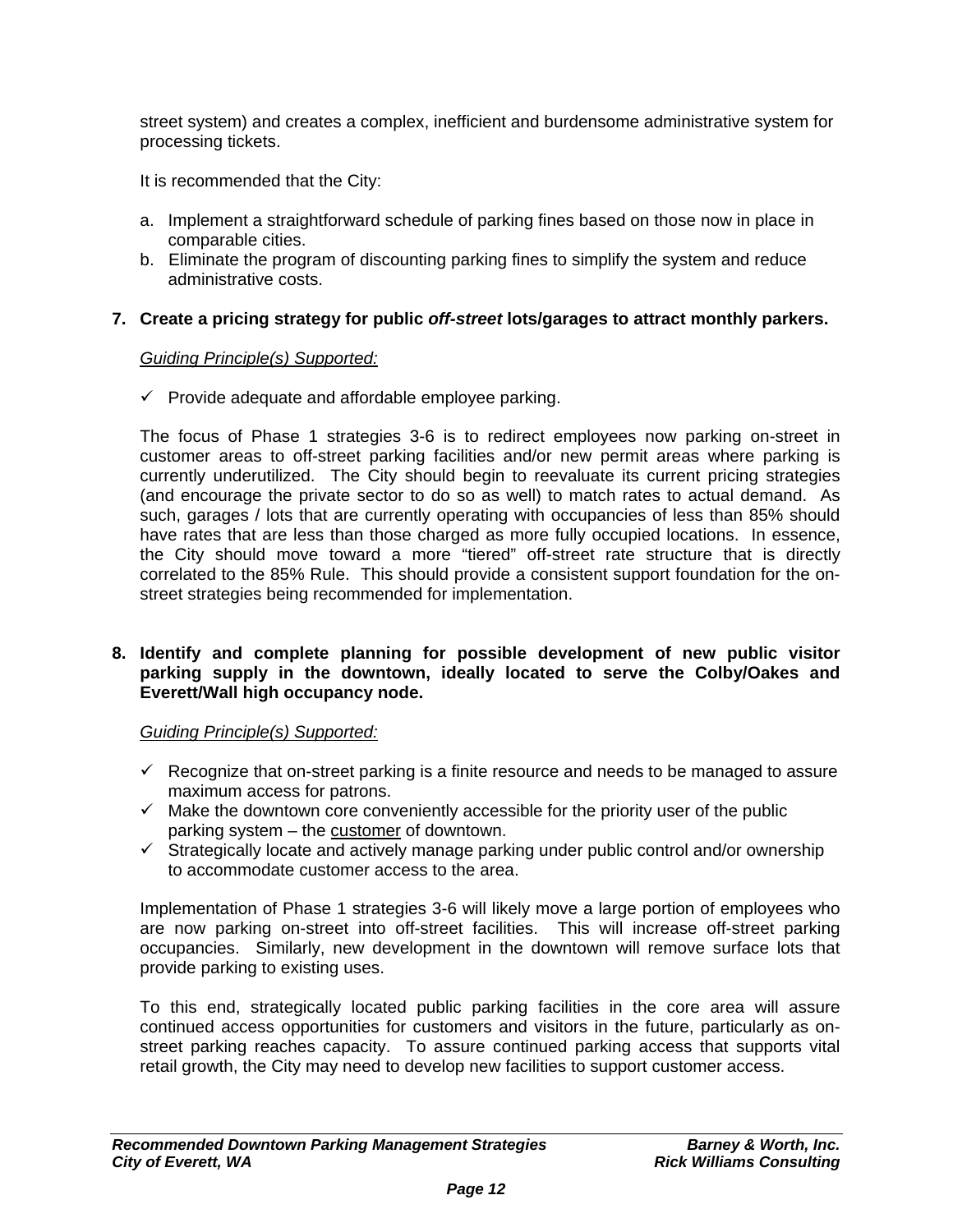street system) and creates a complex, inefficient and burdensome administrative system for processing tickets.

It is recommended that the City:

- a. Implement a straightforward schedule of parking fines based on those now in place in comparable cities.
- b. Eliminate the program of discounting parking fines to simplify the system and reduce administrative costs.

## **7. Create a pricing strategy for public** *off-street* **lots/garages to attract monthly parkers.**

## *Guiding Principle(s) Supported:*

 $\checkmark$  Provide adequate and affordable employee parking.

 The focus of Phase 1 strategies 3-6 is to redirect employees now parking on-street in customer areas to off-street parking facilities and/or new permit areas where parking is currently underutilized. The City should begin to reevaluate its current pricing strategies (and encourage the private sector to do so as well) to match rates to actual demand. As such, garages / lots that are currently operating with occupancies of less than 85% should have rates that are less than those charged as more fully occupied locations. In essence, the City should move toward a more "tiered" off-street rate structure that is directly correlated to the 85% Rule. This should provide a consistent support foundation for the on street strategies being recommended for implementation.

## **8. Identify and complete planning for possible development of new public visitor parking supply in the downtown, ideally located to serve the Colby/Oakes and Everett/Wall high occupancy node.**

## *Guiding Principle(s) Supported:*

- $\checkmark$  Recognize that on-street parking is a finite resource and needs to be managed to assure maximum access for patrons.
- $\checkmark$  Make the downtown core conveniently accessible for the priority user of the public parking system – the customer of downtown.
- $\checkmark$  Strategically locate and actively manage parking under public control and/or ownership to accommodate customer access to the area.

Implementation of Phase 1 strategies 3-6 will likely move a large portion of employees who are now parking on-street into off-street facilities. This will increase off-street parking occupancies. Similarly, new development in the downtown will remove surface lots that provide parking to existing uses.

To this end, strategically located public parking facilities in the core area will assure continued access opportunities for customers and visitors in the future, particularly as onstreet parking reaches capacity. To assure continued parking access that supports vital retail growth, the City may need to develop new facilities to support customer access.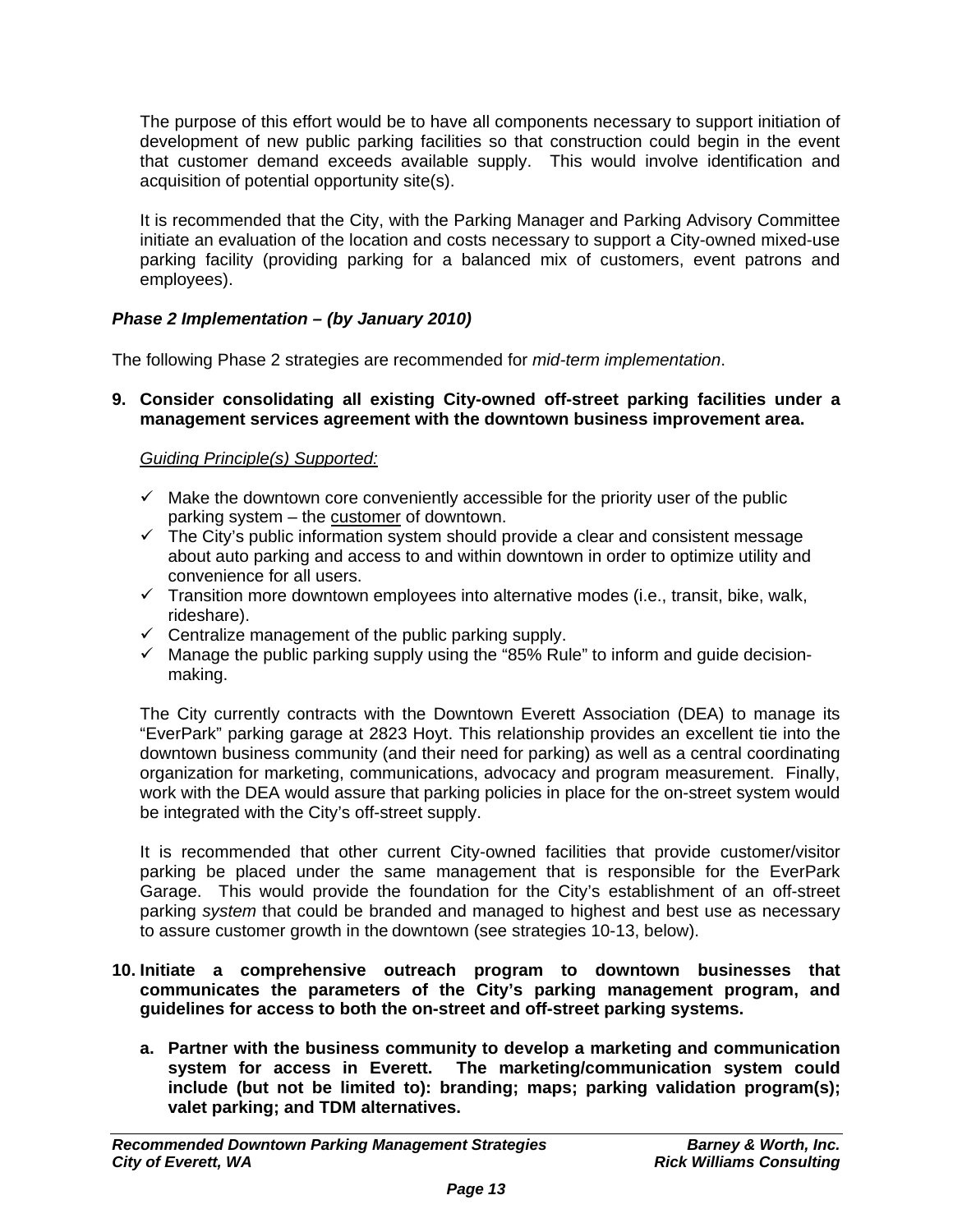The purpose of this effort would be to have all components necessary to support initiation of development of new public parking facilities so that construction could begin in the event that customer demand exceeds available supply. This would involve identification and acquisition of potential opportunity site(s).

It is recommended that the City, with the Parking Manager and Parking Advisory Committee initiate an evaluation of the location and costs necessary to support a City-owned mixed-use parking facility (providing parking for a balanced mix of customers, event patrons and employees).

## *Phase 2 Implementation – (by January 2010)*

The following Phase 2 strategies are recommended for *mid-term implementation*.

**9. Consider consolidating all existing City-owned off-street parking facilities under a management services agreement with the downtown business improvement area.** 

## *Guiding Principle(s) Supported:*

- $\checkmark$  Make the downtown core conveniently accessible for the priority user of the public parking system – the customer of downtown.
- <del>Farting</del> by Stementies and streamed the city's public information system should provide a clear and consistent message about auto parking and access to and within downtown in order to optimize utility and convenience for all users.
- $\checkmark$  Transition more downtown employees into alternative modes (i.e., transit, bike, walk, rideshare).
- $\checkmark$  Centralize management of the public parking supply.
- $\checkmark$  Manage the public parking supply using the "85% Rule" to inform and guide decisionmaking.

The City currently contracts with the Downtown Everett Association (DEA) to manage its "EverPark" parking garage at 2823 Hoyt. This relationship provides an excellent tie into the downtown business community (and their need for parking) as well as a central coordinating organization for marketing, communications, advocacy and program measurement. Finally, work with the DEA would assure that parking policies in place for the on-street system would be integrated with the City's off-street supply.

It is recommended that other current City-owned facilities that provide customer/visitor parking be placed under the same management that is responsible for the EverPark Garage. This would provide the foundation for the City's establishment of an off-street parking *system* that could be branded and managed to highest and best use as necessary to assure customer growth in the downtown (see strategies 10-13, below).

## **10. Initiate a comprehensive outreach program to downtown businesses that communicates the parameters of the City's parking management program, and guidelines for access to both the on-street and off-street parking systems.**

**a. Partner with the business community to develop a marketing and communication system for access in Everett. The marketing/communication system could include (but not be limited to): branding; maps; parking validation program(s); valet parking; and TDM alternatives.**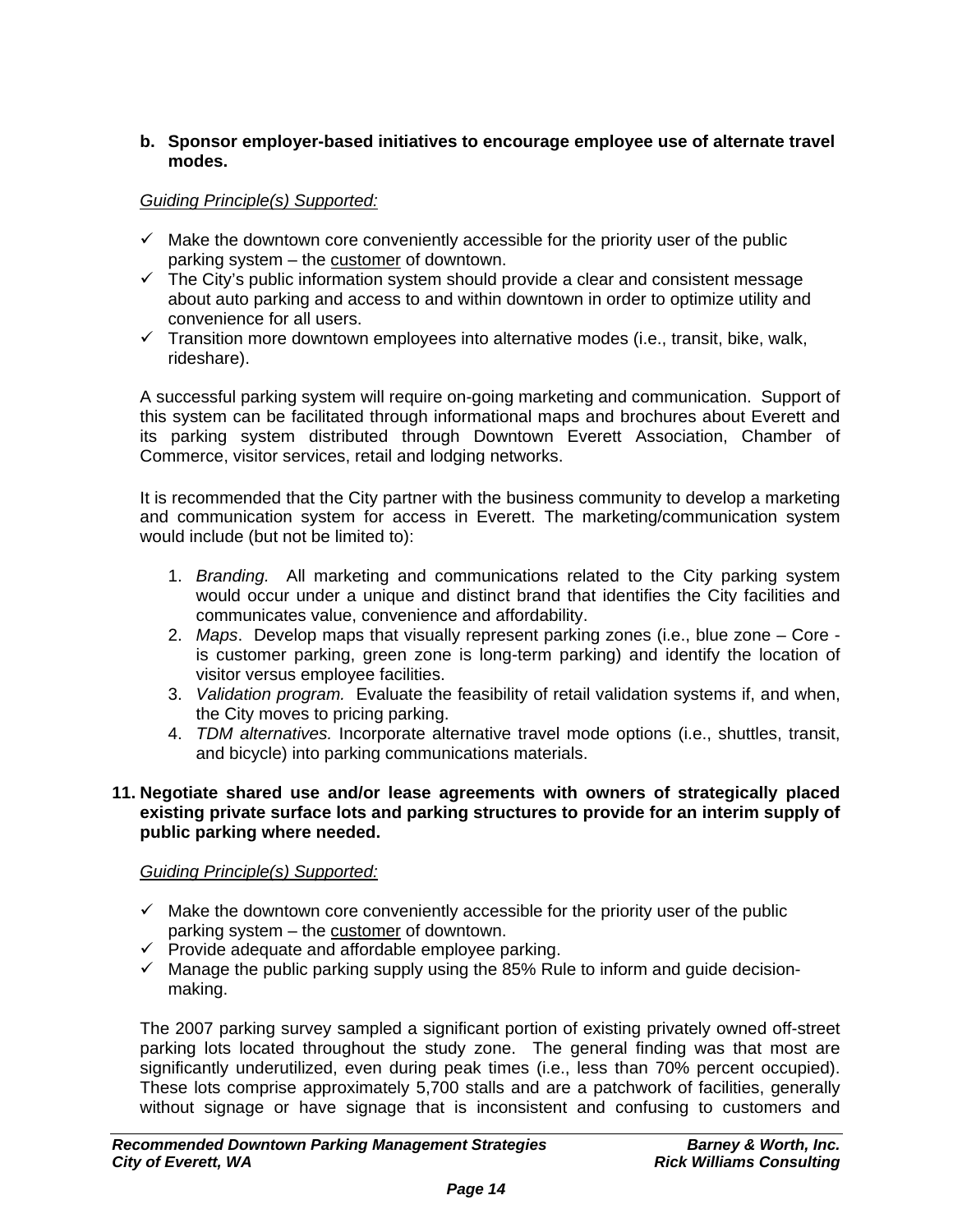## **b. Sponsor employer-based initiatives to encourage employee use of alternate travel modes.**

## *Guiding Principle(s) Supported:*

- $\checkmark$  Make the downtown core conveniently accessible for the priority user of the public parking system – the customer of downtown.
- $\checkmark$  The City's public information system should provide a clear and consistent message about auto parking and access to and within downtown in order to optimize utility and convenience for all users.
- $\checkmark$  Transition more downtown employees into alternative modes (i.e., transit, bike, walk, rideshare).

A successful parking system will require on-going marketing and communication. Support of this system can be facilitated through informational maps and brochures about Everett and its parking system distributed through Downtown Everett Association, Chamber of Commerce, visitor services, retail and lodging networks.

It is recommended that the City partner with the business community to develop a marketing and communication system for access in Everett. The marketing/communication system would include (but not be limited to):

- 1. *Branding.* All marketing and communications related to the City parking system would occur under a unique and distinct brand that identifies the City facilities and communicates value, convenience and affordability.
- 2. *Maps*. Develop maps that visually represent parking zones (i.e., blue zone Core is customer parking, green zone is long-term parking) and identify the location of visitor versus employee facilities.
- 3. *Validation program.* Evaluate the feasibility of retail validation systems if, and when, the City moves to pricing parking.
- 4. *TDM alternatives.* Incorporate alternative travel mode options (i.e., shuttles, transit, and bicycle) into parking communications materials.

#### **11. Negotiate shared use and/or lease agreements with owners of strategically placed existing private surface lots and parking structures to provide for an interim supply of public parking where needed.**

## *Guiding Principle(s) Supported:*

- $\checkmark$  Make the downtown core conveniently accessible for the priority user of the public parking system – the customer of downtown.
- $\checkmark$  Provide adequate and affordable employee parking.
- $\checkmark$  Manage the public parking supply using the 85% Rule to inform and guide decisionmaking.

The 2007 parking survey sampled a significant portion of existing privately owned off-street parking lots located throughout the study zone. The general finding was that most are significantly underutilized, even during peak times (i.e., less than 70% percent occupied). These lots comprise approximately 5,700 stalls and are a patchwork of facilities, generally without signage or have signage that is inconsistent and confusing to customers and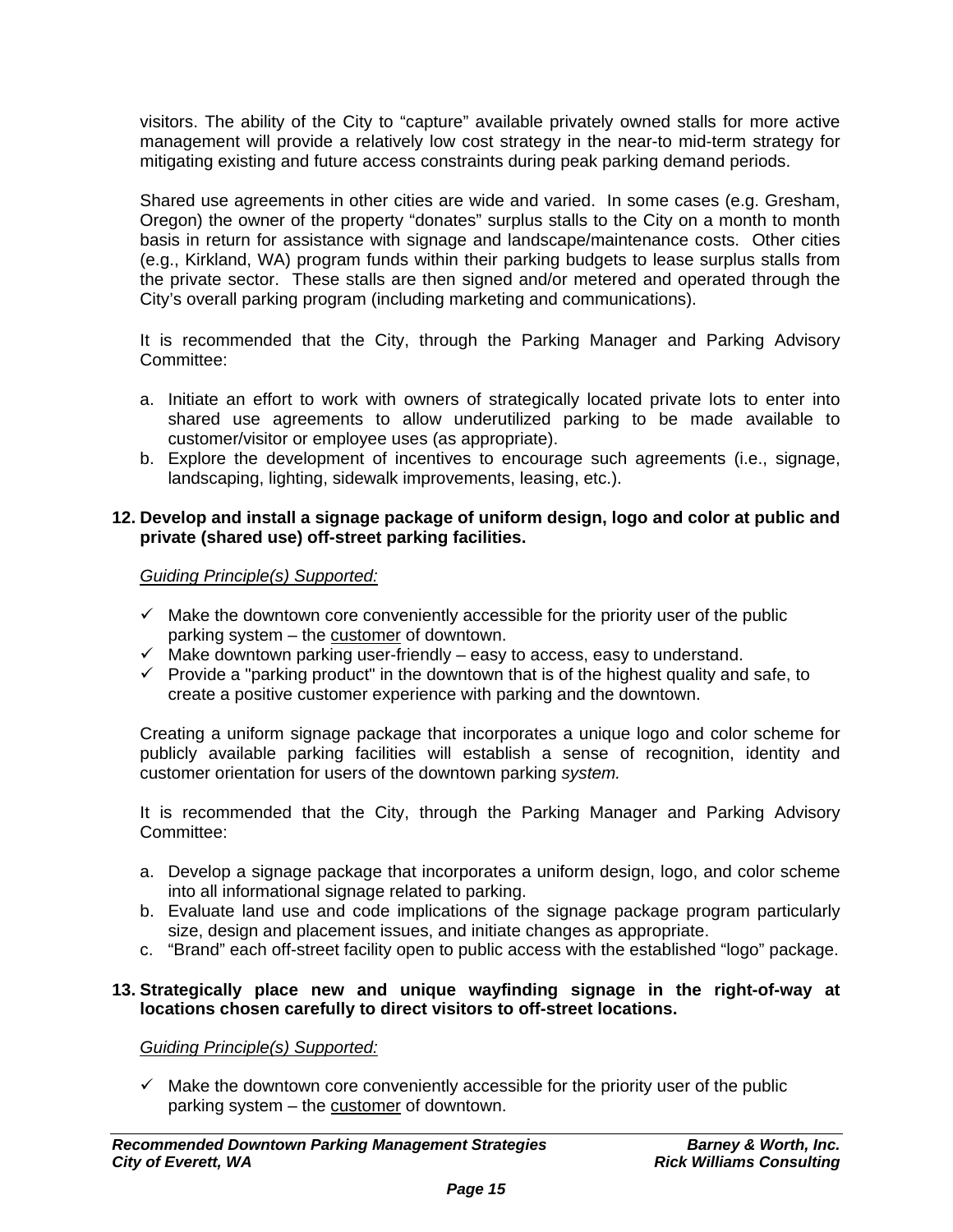visitors. The ability of the City to "capture" available privately owned stalls for more active management will provide a relatively low cost strategy in the near-to mid-term strategy for mitigating existing and future access constraints during peak parking demand periods.

Shared use agreements in other cities are wide and varied. In some cases (e.g. Gresham, Oregon) the owner of the property "donates" surplus stalls to the City on a month to month basis in return for assistance with signage and landscape/maintenance costs. Other cities (e.g., Kirkland, WA) program funds within their parking budgets to lease surplus stalls from the private sector. These stalls are then signed and/or metered and operated through the City's overall parking program (including marketing and communications).

It is recommended that the City, through the Parking Manager and Parking Advisory Committee:

- a. Initiate an effort to work with owners of strategically located private lots to enter into shared use agreements to allow underutilized parking to be made available to customer/visitor or employee uses (as appropriate).
- b. Explore the development of incentives to encourage such agreements (i.e., signage, landscaping, lighting, sidewalk improvements, leasing, etc.).

## **12. Develop and install a signage package of uniform design, logo and color at public and private (shared use) off-street parking facilities.**

## *Guiding Principle(s) Supported:*

- $\checkmark$  Make the downtown core conveniently accessible for the priority user of the public parking system – the customer of downtown.
- $\checkmark$  Make downtown parking user-friendly easy to access, easy to understand.
- $\checkmark$  Provide a "parking product" in the downtown that is of the highest quality and safe, to create a positive customer experience with parking and the downtown.

Creating a uniform signage package that incorporates a unique logo and color scheme for publicly available parking facilities will establish a sense of recognition, identity and customer orientation for users of the downtown parking *system.*

It is recommended that the City, through the Parking Manager and Parking Advisory Committee:

- a. Develop a signage package that incorporates a uniform design, logo, and color scheme into all informational signage related to parking.
- b. Evaluate land use and code implications of the signage package program particularly size, design and placement issues, and initiate changes as appropriate.
- c. "Brand" each off-street facility open to public access with the established "logo" package.

## **13. Strategically place new and unique wayfinding signage in the right-of-way at locations chosen carefully to direct visitors to off-street locations.**

*Guiding Principle(s) Supported:*

 $\checkmark$  Make the downtown core conveniently accessible for the priority user of the public parking system – the customer of downtown.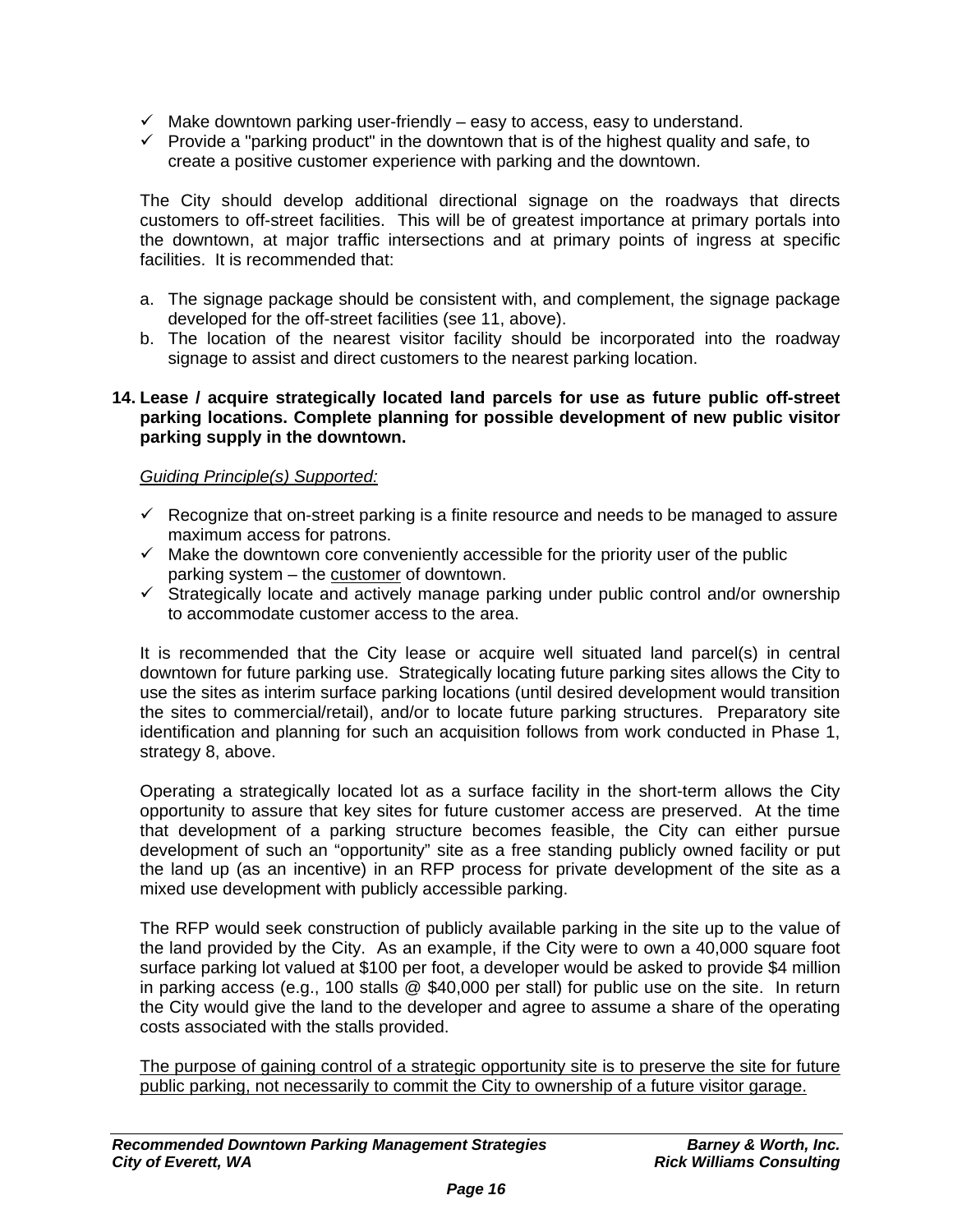- $\checkmark$  Make downtown parking user-friendly easy to access, easy to understand.
- $\checkmark$  Provide a "parking product" in the downtown that is of the highest quality and safe, to create a positive customer experience with parking and the downtown.

The City should develop additional directional signage on the roadways that directs customers to off-street facilities. This will be of greatest importance at primary portals into the downtown, at major traffic intersections and at primary points of ingress at specific facilities. It is recommended that:

- a. The signage package should be consistent with, and complement, the signage package developed for the off-street facilities (see 11, above).
- b. The location of the nearest visitor facility should be incorporated into the roadway signage to assist and direct customers to the nearest parking location.

### **14. Lease / acquire strategically located land parcels for use as future public off-street parking locations. Complete planning for possible development of new public visitor parking supply in the downtown.**

## *Guiding Principle(s) Supported:*

- $\checkmark$  Recognize that on-street parking is a finite resource and needs to be managed to assure maximum access for patrons.
- $\checkmark$  Make the downtown core conveniently accessible for the priority user of the public parking system – the customer of downtown.
- $\checkmark$  Strategically locate and actively manage parking under public control and/or ownership to accommodate customer access to the area.

It is recommended that the City lease or acquire well situated land parcel(s) in central downtown for future parking use. Strategically locating future parking sites allows the City to use the sites as interim surface parking locations (until desired development would transition the sites to commercial/retail), and/or to locate future parking structures. Preparatory site identification and planning for such an acquisition follows from work conducted in Phase 1, strategy 8, above.

Operating a strategically located lot as a surface facility in the short-term allows the City opportunity to assure that key sites for future customer access are preserved. At the time that development of a parking structure becomes feasible, the City can either pursue development of such an "opportunity" site as a free standing publicly owned facility or put the land up (as an incentive) in an RFP process for private development of the site as a mixed use development with publicly accessible parking.

The RFP would seek construction of publicly available parking in the site up to the value of the land provided by the City. As an example, if the City were to own a 40,000 square foot surface parking lot valued at \$100 per foot, a developer would be asked to provide \$4 million in parking access (e.g., 100 stalls @ \$40,000 per stall) for public use on the site. In return the City would give the land to the developer and agree to assume a share of the operating costs associated with the stalls provided.

The purpose of gaining control of a strategic opportunity site is to preserve the site for future public parking, not necessarily to commit the City to ownership of a future visitor garage.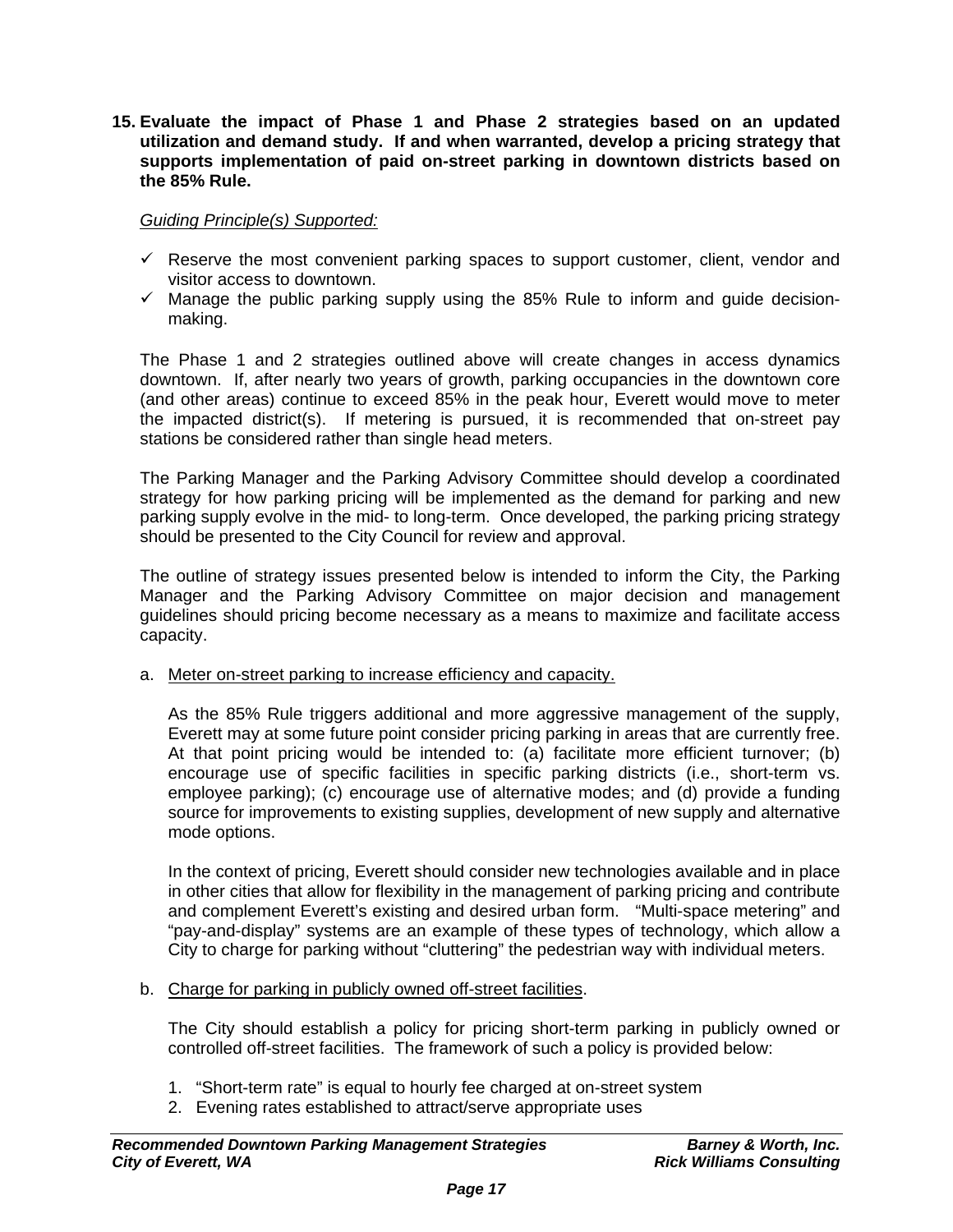**15. Evaluate the impact of Phase 1 and Phase 2 strategies based on an updated utilization and demand study. If and when warranted, develop a pricing strategy that supports implementation of paid on-street parking in downtown districts based on the 85% Rule.** 

## *Guiding Principle(s) Supported:*

- $\checkmark$  Reserve the most convenient parking spaces to support customer, client, vendor and visitor access to downtown.
- $\checkmark$  Manage the public parking supply using the 85% Rule to inform and guide decisionmaking.

The Phase 1 and 2 strategies outlined above will create changes in access dynamics downtown. If, after nearly two years of growth, parking occupancies in the downtown core (and other areas) continue to exceed 85% in the peak hour, Everett would move to meter the impacted district(s). If metering is pursued, it is recommended that on-street pay stations be considered rather than single head meters.

The Parking Manager and the Parking Advisory Committee should develop a coordinated strategy for how parking pricing will be implemented as the demand for parking and new parking supply evolve in the mid- to long-term. Once developed, the parking pricing strategy should be presented to the City Council for review and approval.

The outline of strategy issues presented below is intended to inform the City, the Parking Manager and the Parking Advisory Committee on major decision and management guidelines should pricing become necessary as a means to maximize and facilitate access capacity.

a. Meter on-street parking to increase efficiency and capacity.

As the 85% Rule triggers additional and more aggressive management of the supply, Everett may at some future point consider pricing parking in areas that are currently free. At that point pricing would be intended to: (a) facilitate more efficient turnover; (b) encourage use of specific facilities in specific parking districts (i.e., short-term vs. employee parking); (c) encourage use of alternative modes; and (d) provide a funding source for improvements to existing supplies, development of new supply and alternative mode options.

In the context of pricing, Everett should consider new technologies available and in place in other cities that allow for flexibility in the management of parking pricing and contribute and complement Everett's existing and desired urban form. "Multi-space metering" and "pay-and-display" systems are an example of these types of technology, which allow a City to charge for parking without "cluttering" the pedestrian way with individual meters.

b. Charge for parking in publicly owned off-street facilities.

The City should establish a policy for pricing short-term parking in publicly owned or controlled off-street facilities. The framework of such a policy is provided below:

- 1. "Short-term rate" is equal to hourly fee charged at on-street system
- 2. Evening rates established to attract/serve appropriate uses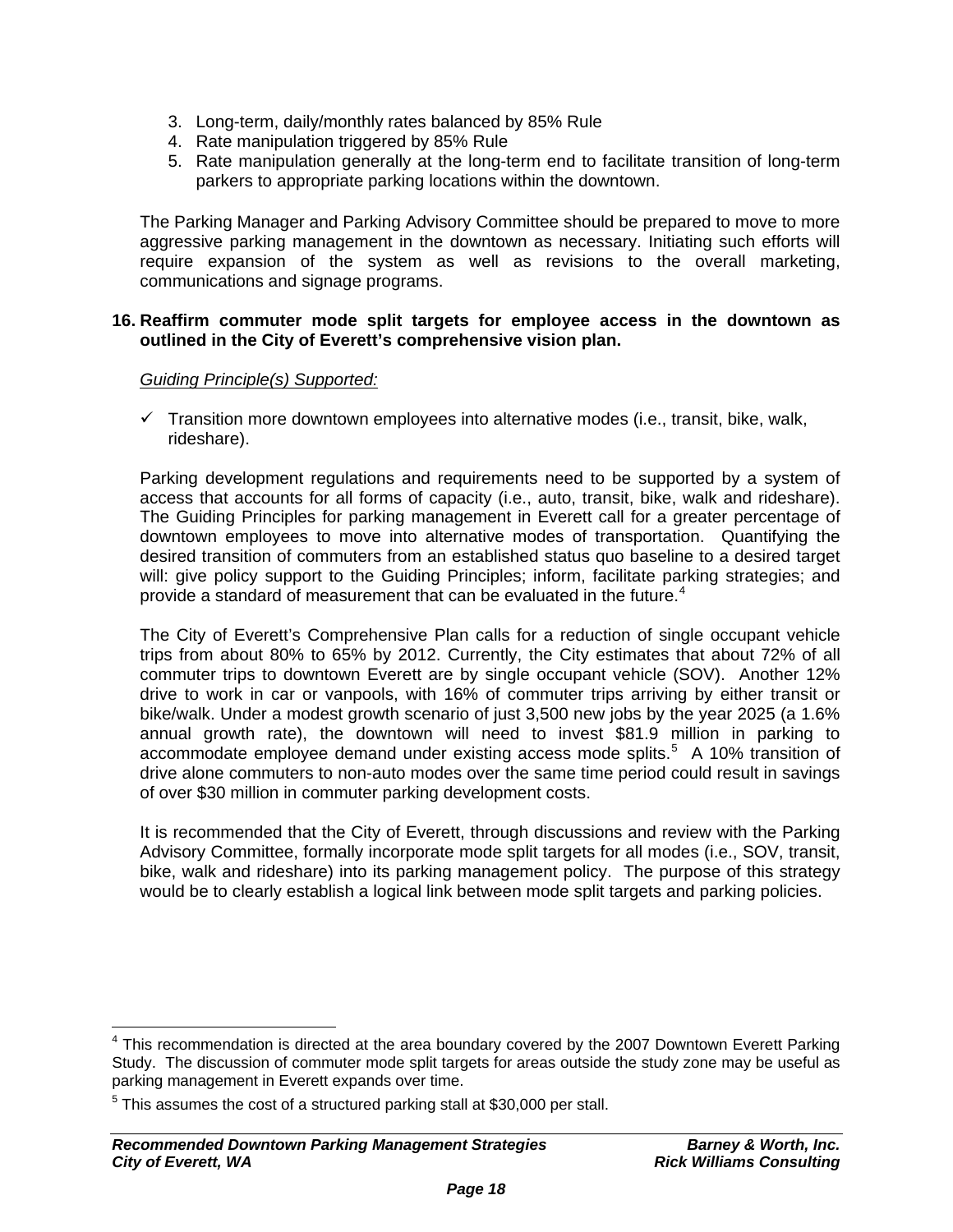- 3. Long-term, daily/monthly rates balanced by 85% Rule
- 4. Rate manipulation triggered by 85% Rule
- 5. Rate manipulation generally at the long-term end to facilitate transition of long-term parkers to appropriate parking locations within the downtown.

The Parking Manager and Parking Advisory Committee should be prepared to move to more aggressive parking management in the downtown as necessary. Initiating such efforts will require expansion of the system as well as revisions to the overall marketing, communications and signage programs.

### **16. Reaffirm commuter mode split targets for employee access in the downtown as outlined in the City of Everett's comprehensive vision plan.**

## *Guiding Principle(s) Supported:*

 $\checkmark$  Transition more downtown employees into alternative modes (i.e., transit, bike, walk, rideshare).

Parking development regulations and requirements need to be supported by a system of access that accounts for all forms of capacity (i.e., auto, transit, bike, walk and rideshare). The Guiding Principles for parking management in Everett call for a greater percentage of downtown employees to move into alternative modes of transportation. Quantifying the desired transition of commuters from an established status quo baseline to a desired target will: give policy support to the Guiding Principles; inform, facilitate parking strategies; and provide a standard of measurement that can be evaluated in the future.<sup>[4](#page-17-0)</sup>

The City of Everett's Comprehensive Plan calls for a reduction of single occupant vehicle trips from about 80% to 65% by 2012. Currently, the City estimates that about 72% of all commuter trips to downtown Everett are by single occupant vehicle (SOV). Another 12% drive to work in car or vanpools, with 16% of commuter trips arriving by either transit or bike/walk. Under a modest growth scenario of just 3,500 new jobs by the year 2025 (a 1.6% annual growth rate), the downtown will need to invest \$81.9 million in parking to accommodate employee demand under existing access mode splits.<sup>[5](#page-17-1)</sup> A 10% transition of drive alone commuters to non-auto modes over the same time period could result in savings of over \$30 million in commuter parking development costs.

It is recommended that the City of Everett, through discussions and review with the Parking Advisory Committee, formally incorporate mode split targets for all modes (i.e., SOV, transit, bike, walk and rideshare) into its parking management policy. The purpose of this strategy would be to clearly establish a logical link between mode split targets and parking policies.

<span id="page-17-0"></span> $\overline{a}$  $4$  This recommendation is directed at the area boundary covered by the 2007 Downtown Everett Parking Study. The discussion of commuter mode split targets for areas outside the study zone may be useful as parking management in Everett expands over time.

<span id="page-17-1"></span> $5$  This assumes the cost of a structured parking stall at \$30,000 per stall.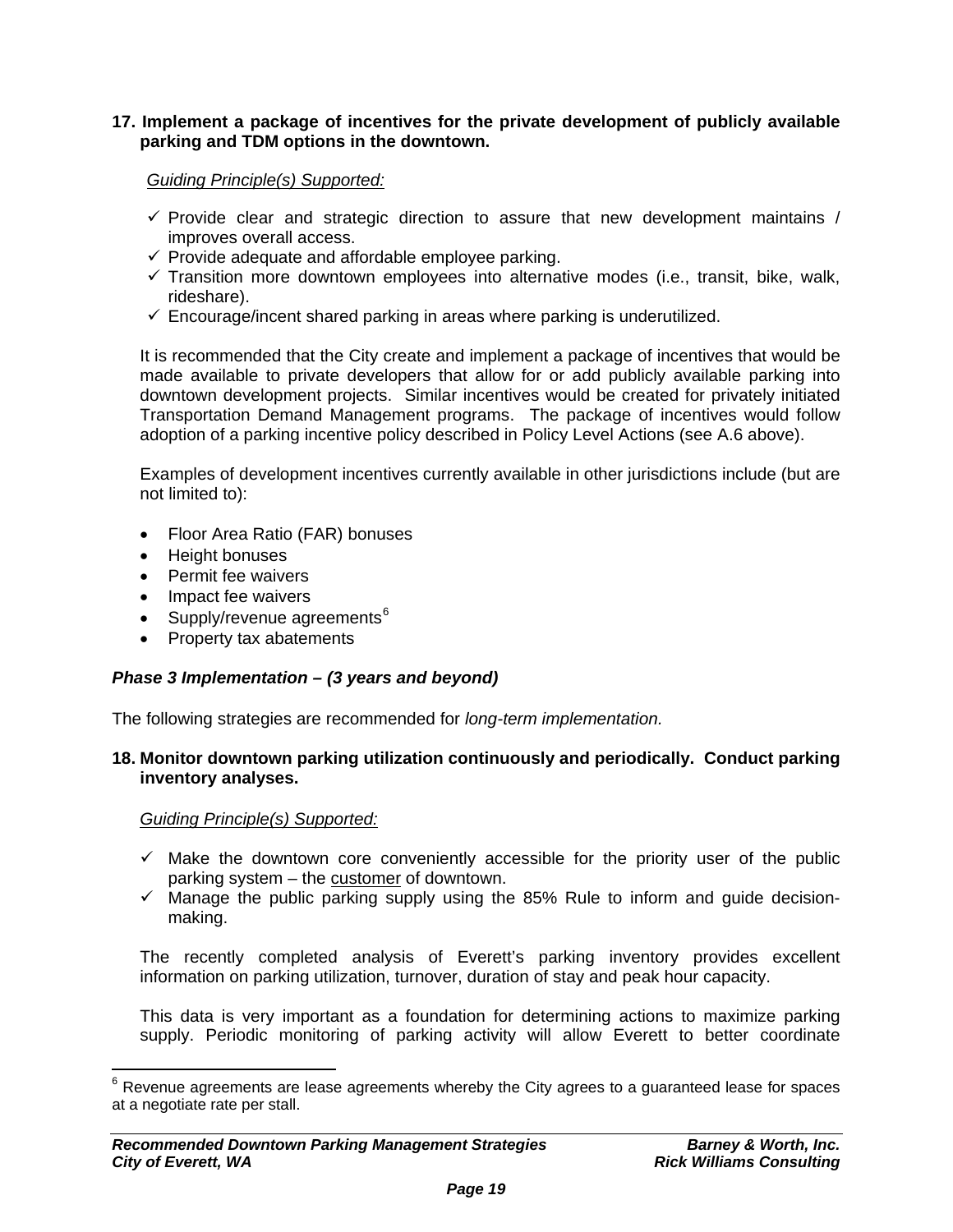## **17. Implement a package of incentives for the private development of publicly available parking and TDM options in the downtown.**

*Guiding Principle(s) Supported:*

- $\checkmark$  Provide clear and strategic direction to assure that new development maintains / improves overall access.
- $\checkmark$  Provide adequate and affordable employee parking.
- $\checkmark$  Transition more downtown employees into alternative modes (i.e., transit, bike, walk, rideshare).
- $\checkmark$  Encourage/incent shared parking in areas where parking is underutilized.

It is recommended that the City create and implement a package of incentives that would be made available to private developers that allow for or add publicly available parking into downtown development projects. Similar incentives would be created for privately initiated Transportation Demand Management programs. The package of incentives would follow adoption of a parking incentive policy described in Policy Level Actions (see A.6 above).

Examples of development incentives currently available in other jurisdictions include (but are not limited to):

- Floor Area Ratio (FAR) bonuses
- Height bonuses
- Permit fee waivers
- Impact fee waivers
- Supply/revenue agreements $6$
- Property tax abatements

#### *Phase 3 Implementation – (3 years and beyond)*

The following strategies are recommended for *long-term implementation.*

#### **18. Monitor downtown parking utilization continuously and periodically. Conduct parking inventory analyses.**

*Guiding Principle(s) Supported:*

 $\overline{a}$ 

- $\checkmark$  Make the downtown core conveniently accessible for the priority user of the public parking system – the customer of downtown.
- $\checkmark$  Manage the public parking supply using the 85% Rule to inform and guide decisionmaking.

The recently completed analysis of Everett's parking inventory provides excellent information on parking utilization, turnover, duration of stay and peak hour capacity.

This data is very important as a foundation for determining actions to maximize parking supply. Periodic monitoring of parking activity will allow Everett to better coordinate

<span id="page-18-0"></span> $^6$  Revenue agreements are lease agreements whereby the City agrees to a guaranteed lease for spaces at a negotiate rate per stall.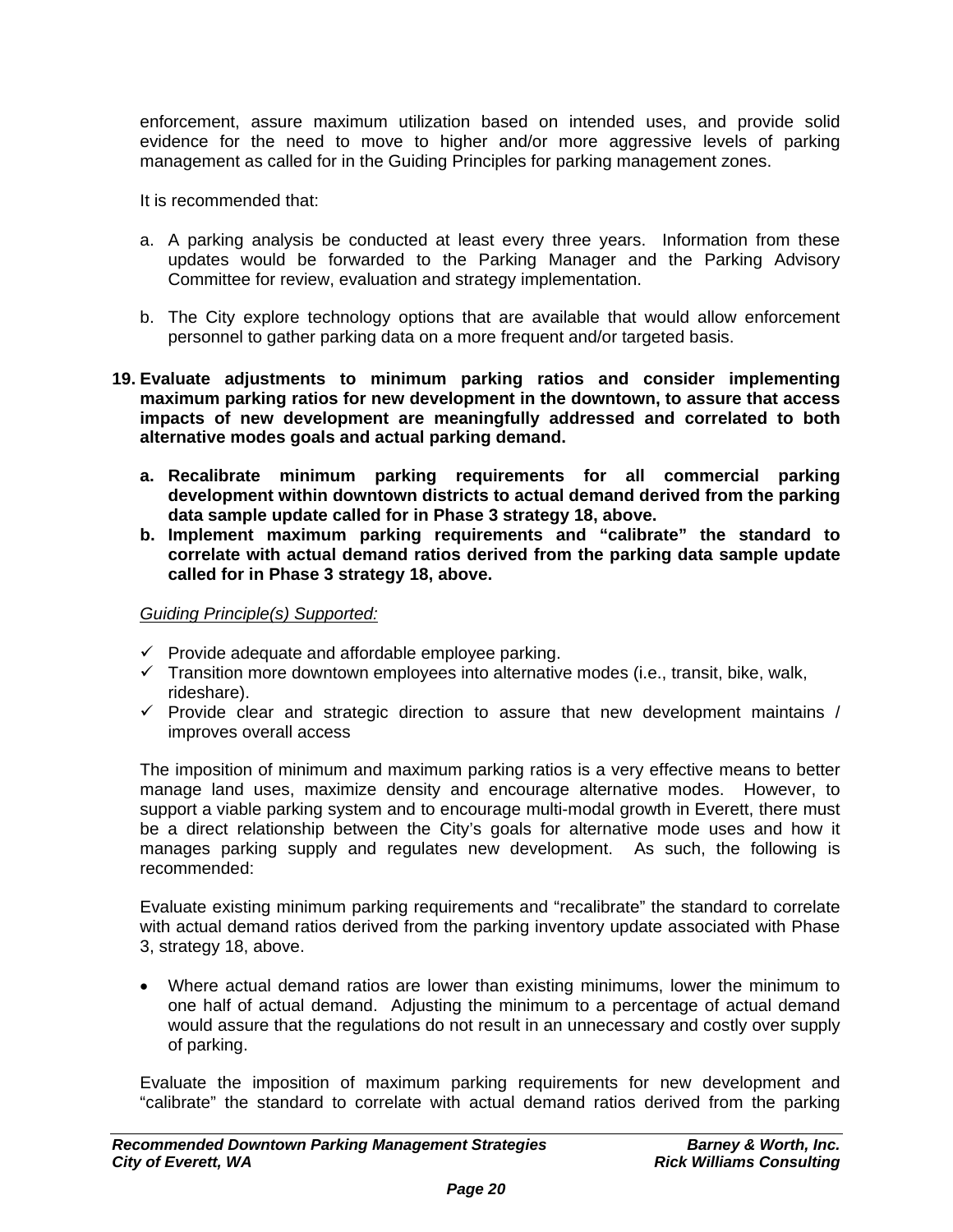enforcement, assure maximum utilization based on intended uses, and provide solid evidence for the need to move to higher and/or more aggressive levels of parking management as called for in the Guiding Principles for parking management zones.

It is recommended that:

- a. A parking analysis be conducted at least every three years. Information from these updates would be forwarded to the Parking Manager and the Parking Advisory Committee for review, evaluation and strategy implementation.
- b. The City explore technology options that are available that would allow enforcement personnel to gather parking data on a more frequent and/or targeted basis.

### **19. Evaluate adjustments to minimum parking ratios and consider implementing maximum parking ratios for new development in the downtown, to assure that access impacts of new development are meaningfully addressed and correlated to both alternative modes goals and actual parking demand.**

- **a. Recalibrate minimum parking requirements for all commercial parking development within downtown districts to actual demand derived from the parking data sample update called for in Phase 3 strategy 18, above.**
- **b. Implement maximum parking requirements and "calibrate" the standard to correlate with actual demand ratios derived from the parking data sample update called for in Phase 3 strategy 18, above.**

*Guiding Principle(s) Supported:*

- $\checkmark$  Provide adequate and affordable employee parking.
- $\checkmark$  Transition more downtown employees into alternative modes (i.e., transit, bike, walk, rideshare).
- $\checkmark$  Provide clear and strategic direction to assure that new development maintains / improves overall access

The imposition of minimum and maximum parking ratios is a very effective means to better manage land uses, maximize density and encourage alternative modes. However, to support a viable parking system and to encourage multi-modal growth in Everett, there must be a direct relationship between the City's goals for alternative mode uses and how it manages parking supply and regulates new development. As such, the following is recommended:

Evaluate existing minimum parking requirements and "recalibrate" the standard to correlate with actual demand ratios derived from the parking inventory update associated with Phase 3, strategy 18, above.

• Where actual demand ratios are lower than existing minimums, lower the minimum to one half of actual demand. Adjusting the minimum to a percentage of actual demand would assure that the regulations do not result in an unnecessary and costly over supply of parking.

Evaluate the imposition of maximum parking requirements for new development and "calibrate" the standard to correlate with actual demand ratios derived from the parking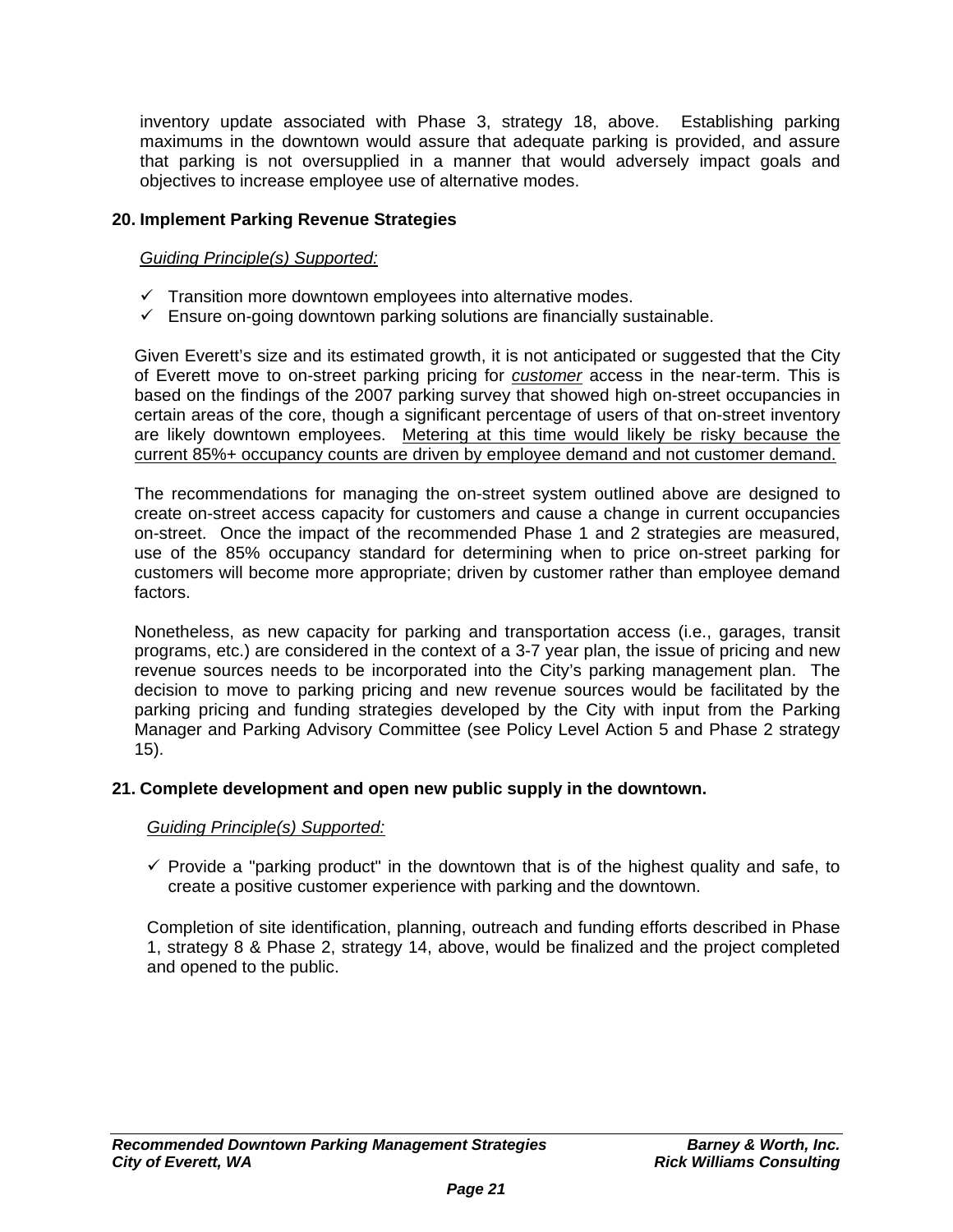inventory update associated with Phase 3, strategy 18, above. Establishing parking maximums in the downtown would assure that adequate parking is provided, and assure that parking is not oversupplied in a manner that would adversely impact goals and objectives to increase employee use of alternative modes.

## **20. Implement Parking Revenue Strategies**

## *Guiding Principle(s) Supported:*

- $\checkmark$  Transition more downtown employees into alternative modes.
- $\checkmark$  Ensure on-going downtown parking solutions are financially sustainable.

Given Everett's size and its estimated growth, it is not anticipated or suggested that the City of Everett move to on-street parking pricing for *customer* access in the near-term. This is based on the findings of the 2007 parking survey that showed high on-street occupancies in certain areas of the core, though a significant percentage of users of that on-street inventory are likely downtown employees. Metering at this time would likely be risky because the current 85%+ occupancy counts are driven by employee demand and not customer demand.

The recommendations for managing the on-street system outlined above are designed to create on-street access capacity for customers and cause a change in current occupancies on-street. Once the impact of the recommended Phase 1 and 2 strategies are measured, use of the 85% occupancy standard for determining when to price on-street parking for customers will become more appropriate; driven by customer rather than employee demand factors.

Nonetheless, as new capacity for parking and transportation access (i.e., garages, transit programs, etc.) are considered in the context of a 3-7 year plan, the issue of pricing and new revenue sources needs to be incorporated into the City's parking management plan. The decision to move to parking pricing and new revenue sources would be facilitated by the parking pricing and funding strategies developed by the City with input from the Parking Manager and Parking Advisory Committee (see Policy Level Action 5 and Phase 2 strategy 15).

## **21. Complete development and open new public supply in the downtown.**

## *Guiding Principle(s) Supported:*

 $\checkmark$  Provide a "parking product" in the downtown that is of the highest quality and safe, to create a positive customer experience with parking and the downtown.

Completion of site identification, planning, outreach and funding efforts described in Phase 1, strategy 8 & Phase 2, strategy 14, above, would be finalized and the project completed and opened to the public.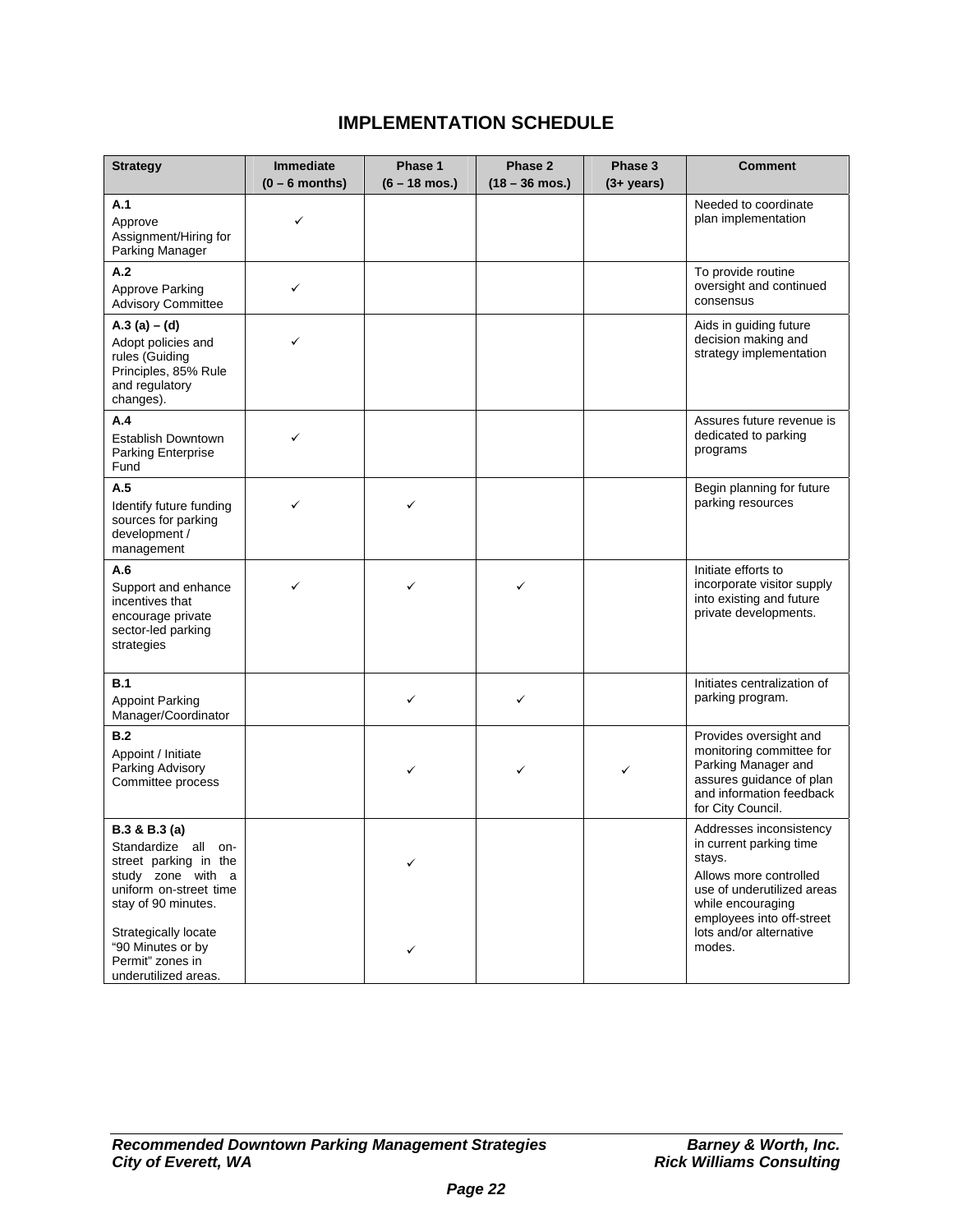# **IMPLEMENTATION SCHEDULE**

| <b>Strategy</b>                                                                                                                     | <b>Immediate</b> | Phase 1                 | Phase 2                  | Phase 3       | <b>Comment</b>                                                                                                                                                         |
|-------------------------------------------------------------------------------------------------------------------------------------|------------------|-------------------------|--------------------------|---------------|------------------------------------------------------------------------------------------------------------------------------------------------------------------------|
|                                                                                                                                     | $(0 - 6$ months) | $(6 - 18 \text{ mos.})$ | $(18 - 36 \text{ mos.})$ | $(3 + years)$ |                                                                                                                                                                        |
| A.1<br>Approve<br>Assignment/Hiring for<br>Parking Manager                                                                          | ✓                |                         |                          |               | Needed to coordinate<br>plan implementation                                                                                                                            |
| A.2<br>Approve Parking<br><b>Advisory Committee</b>                                                                                 | ✓                |                         |                          |               | To provide routine<br>oversight and continued<br>consensus                                                                                                             |
| A.3 (a) $-$ (d)<br>Adopt policies and<br>rules (Guiding<br>Principles, 85% Rule<br>and regulatory<br>changes).                      | ✓                |                         |                          |               | Aids in guiding future<br>decision making and<br>strategy implementation                                                                                               |
| A.4<br>Establish Downtown<br><b>Parking Enterprise</b><br>Fund                                                                      | ✓                |                         |                          |               | Assures future revenue is<br>dedicated to parking<br>programs                                                                                                          |
| A.5<br>Identify future funding<br>sources for parking<br>development /<br>management                                                | ✓                | ✓                       |                          |               | Begin planning for future<br>parking resources                                                                                                                         |
| A.6<br>Support and enhance<br>incentives that<br>encourage private<br>sector-led parking<br>strategies                              | ✓                | ✓                       | ✓                        |               | Initiate efforts to<br>incorporate visitor supply<br>into existing and future<br>private developments.                                                                 |
| <b>B.1</b><br><b>Appoint Parking</b><br>Manager/Coordinator                                                                         |                  | ✓                       | ✓                        |               | Initiates centralization of<br>parking program.                                                                                                                        |
| B.2<br>Appoint / Initiate<br>Parking Advisory<br>Committee process                                                                  |                  | ✓                       | ✓                        | ✓             | Provides oversight and<br>monitoring committee for<br>Parking Manager and<br>assures guidance of plan<br>and information feedback<br>for City Council.                 |
| B.3 & B.3 (a)<br>Standardize all on-<br>street parking in the<br>study zone with a<br>uniform on-street time<br>stay of 90 minutes. |                  |                         |                          |               | Addresses inconsistency<br>in current parking time<br>stays.<br>Allows more controlled<br>use of underutilized areas<br>while encouraging<br>employees into off-street |
| Strategically locate<br>"90 Minutes or by<br>Permit" zones in<br>underutilized areas.                                               |                  | ✓                       |                          |               | lots and/or alternative<br>modes.                                                                                                                                      |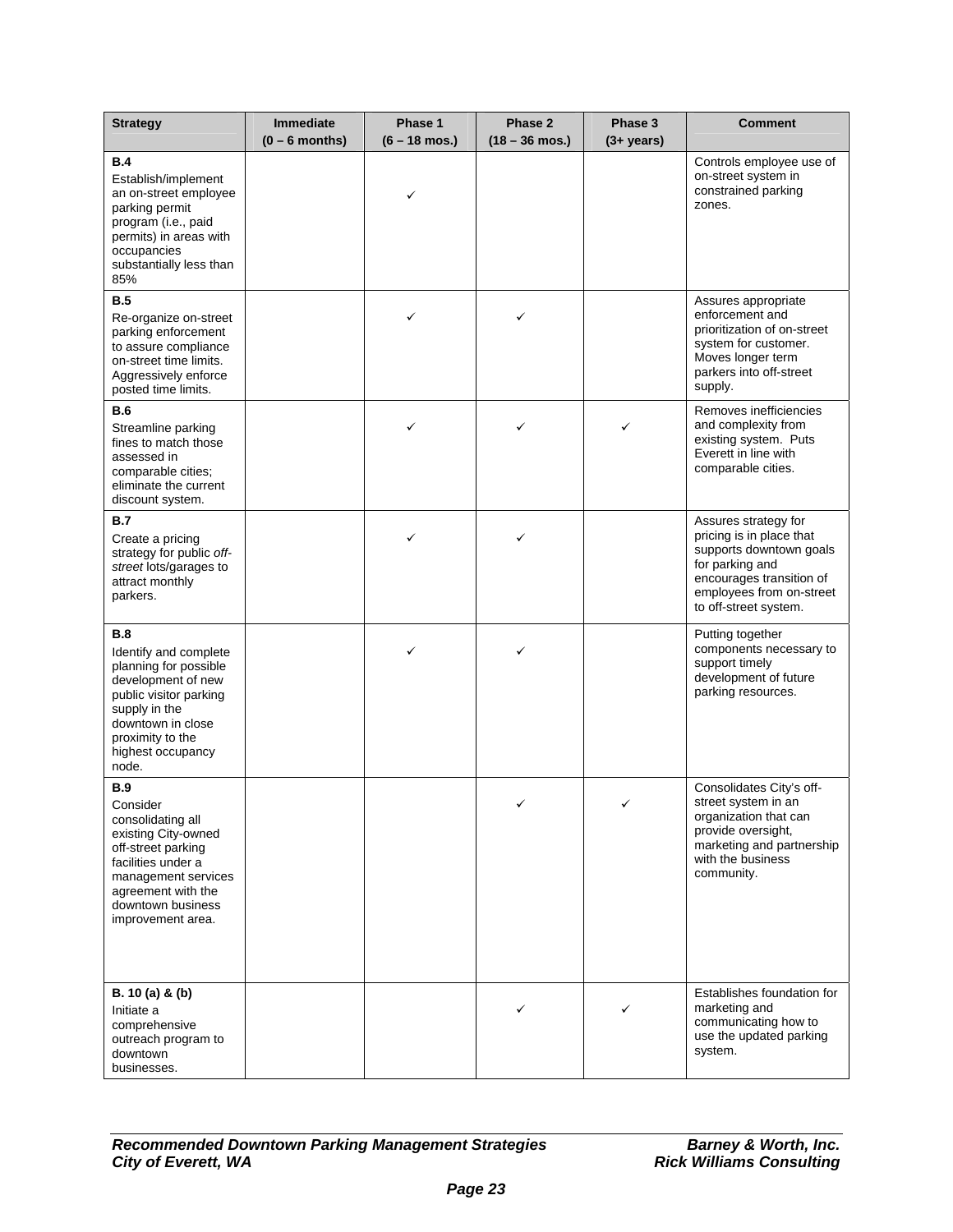| <b>Strategy</b>                                                                                                                                                                                       | <b>Immediate</b> | Phase 1                 | Phase 2          | Phase 3       | <b>Comment</b>                                                                                                                                                                  |
|-------------------------------------------------------------------------------------------------------------------------------------------------------------------------------------------------------|------------------|-------------------------|------------------|---------------|---------------------------------------------------------------------------------------------------------------------------------------------------------------------------------|
|                                                                                                                                                                                                       | $(0 - 6$ months) | $(6 - 18 \text{ mos.})$ | $(18 - 36$ mos.) | $(3 + years)$ |                                                                                                                                                                                 |
| <b>B.4</b><br>Establish/implement<br>an on-street employee<br>parking permit<br>program (i.e., paid<br>permits) in areas with<br>occupancies<br>substantially less than<br>85%                        |                  | ✓                       |                  |               | Controls employee use of<br>on-street system in<br>constrained parking<br>zones.                                                                                                |
| <b>B.5</b><br>Re-organize on-street<br>parking enforcement<br>to assure compliance<br>on-street time limits.<br>Aggressively enforce<br>posted time limits.                                           |                  | ✓                       | ✓                |               | Assures appropriate<br>enforcement and<br>prioritization of on-street<br>system for customer.<br>Moves longer term<br>parkers into off-street<br>supply.                        |
| <b>B.6</b><br>Streamline parking<br>fines to match those<br>assessed in<br>comparable cities;<br>eliminate the current<br>discount system.                                                            |                  | ✓                       | ✓                | ✓             | Removes inefficiencies<br>and complexity from<br>existing system. Puts<br>Everett in line with<br>comparable cities.                                                            |
| B.7<br>Create a pricing<br>strategy for public off-<br>street lots/garages to<br>attract monthly<br>parkers.                                                                                          |                  |                         | ✓                |               | Assures strategy for<br>pricing is in place that<br>supports downtown goals<br>for parking and<br>encourages transition of<br>employees from on-street<br>to off-street system. |
| B.8<br>Identify and complete<br>planning for possible<br>development of new<br>public visitor parking<br>supply in the<br>downtown in close<br>proximity to the<br>highest occupancy<br>node.         |                  | ✓                       | ✓                |               | Putting together<br>components necessary to<br>support timely<br>development of future<br>parking resources.                                                                    |
| <b>B.9</b><br>Consider<br>consolidating all<br>existing City-owned<br>off-street parking<br>facilities under a<br>management services<br>agreement with the<br>downtown business<br>improvement area. |                  |                         | ✓                | ✓             | Consolidates City's off-<br>street system in an<br>organization that can<br>provide oversight,<br>marketing and partnership<br>with the business<br>community.                  |
| B. 10 (a) & (b)<br>Initiate a<br>comprehensive<br>outreach program to<br>downtown<br>businesses.                                                                                                      |                  |                         | ✓                | ✓             | Establishes foundation for<br>marketing and<br>communicating how to<br>use the updated parking<br>system.                                                                       |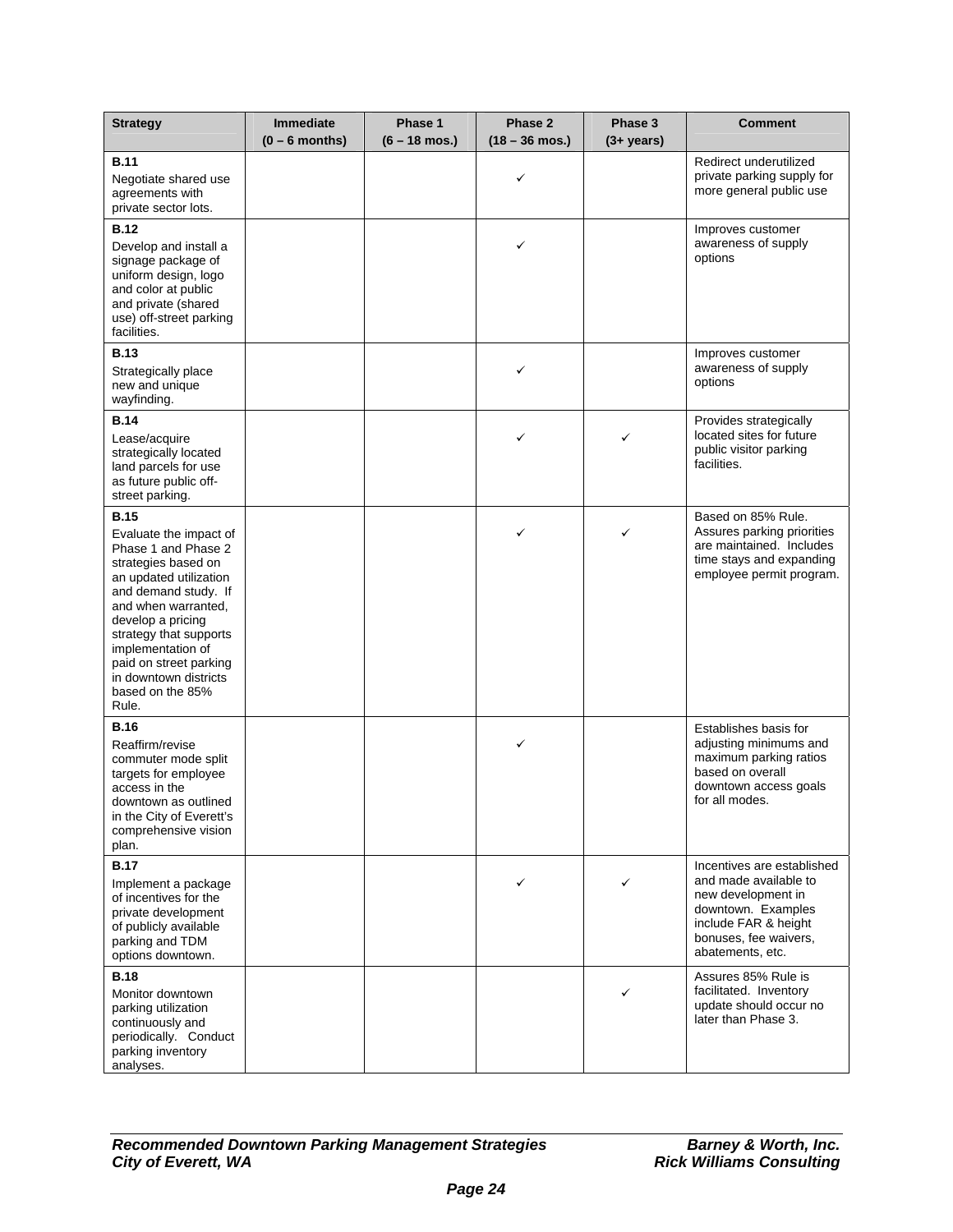| <b>Strategy</b>                                                                                                                                                                                                                                                                                                  | <b>Immediate</b><br>$(0 - 6$ months) | Phase 1<br>$(6 - 18 \text{ mos.})$ | Phase 2<br>$(18 - 36$ mos.) | Phase 3<br>$(3 + \text{years})$ | <b>Comment</b>                                                                                                                                                       |
|------------------------------------------------------------------------------------------------------------------------------------------------------------------------------------------------------------------------------------------------------------------------------------------------------------------|--------------------------------------|------------------------------------|-----------------------------|---------------------------------|----------------------------------------------------------------------------------------------------------------------------------------------------------------------|
| <b>B.11</b><br>Negotiate shared use<br>agreements with<br>private sector lots.                                                                                                                                                                                                                                   |                                      |                                    | ✓                           |                                 | Redirect underutilized<br>private parking supply for<br>more general public use                                                                                      |
| <b>B.12</b><br>Develop and install a<br>signage package of<br>uniform design, logo<br>and color at public<br>and private (shared<br>use) off-street parking<br>facilities.                                                                                                                                       |                                      |                                    | ✓                           |                                 | Improves customer<br>awareness of supply<br>options                                                                                                                  |
| <b>B.13</b><br>Strategically place<br>new and unique<br>wayfinding.                                                                                                                                                                                                                                              |                                      |                                    | ✓                           |                                 | Improves customer<br>awareness of supply<br>options                                                                                                                  |
| <b>B.14</b><br>Lease/acquire<br>strategically located<br>land parcels for use<br>as future public off-<br>street parking.                                                                                                                                                                                        |                                      |                                    | ✓                           | ✓                               | Provides strategically<br>located sites for future<br>public visitor parking<br>facilities.                                                                          |
| <b>B.15</b><br>Evaluate the impact of<br>Phase 1 and Phase 2<br>strategies based on<br>an updated utilization<br>and demand study. If<br>and when warranted,<br>develop a pricing<br>strategy that supports<br>implementation of<br>paid on street parking<br>in downtown districts<br>based on the 85%<br>Rule. |                                      |                                    | ✓                           | ✓                               | Based on 85% Rule.<br>Assures parking priorities<br>are maintained. Includes<br>time stays and expanding<br>employee permit program.                                 |
| <b>B.16</b><br>Reaffirm/revise<br>commuter mode split<br>targets for employee<br>access in the<br>downtown as outlined<br>in the City of Everett's<br>comprehensive vision<br>plan.                                                                                                                              |                                      |                                    | ✓                           |                                 | Establishes basis for<br>adjusting minimums and<br>maximum parking ratios<br>based on overall<br>downtown access goals<br>for all modes.                             |
| <b>B.17</b><br>Implement a package<br>of incentives for the<br>private development<br>of publicly available<br>parking and TDM<br>options downtown.                                                                                                                                                              |                                      |                                    |                             | ✓                               | Incentives are established<br>and made available to<br>new development in<br>downtown. Examples<br>include FAR & height<br>bonuses, fee waivers,<br>abatements, etc. |
| <b>B.18</b><br>Monitor downtown<br>parking utilization<br>continuously and<br>periodically. Conduct<br>parking inventory<br>analyses.                                                                                                                                                                            |                                      |                                    |                             | ✓                               | Assures 85% Rule is<br>facilitated. Inventory<br>update should occur no<br>later than Phase 3.                                                                       |